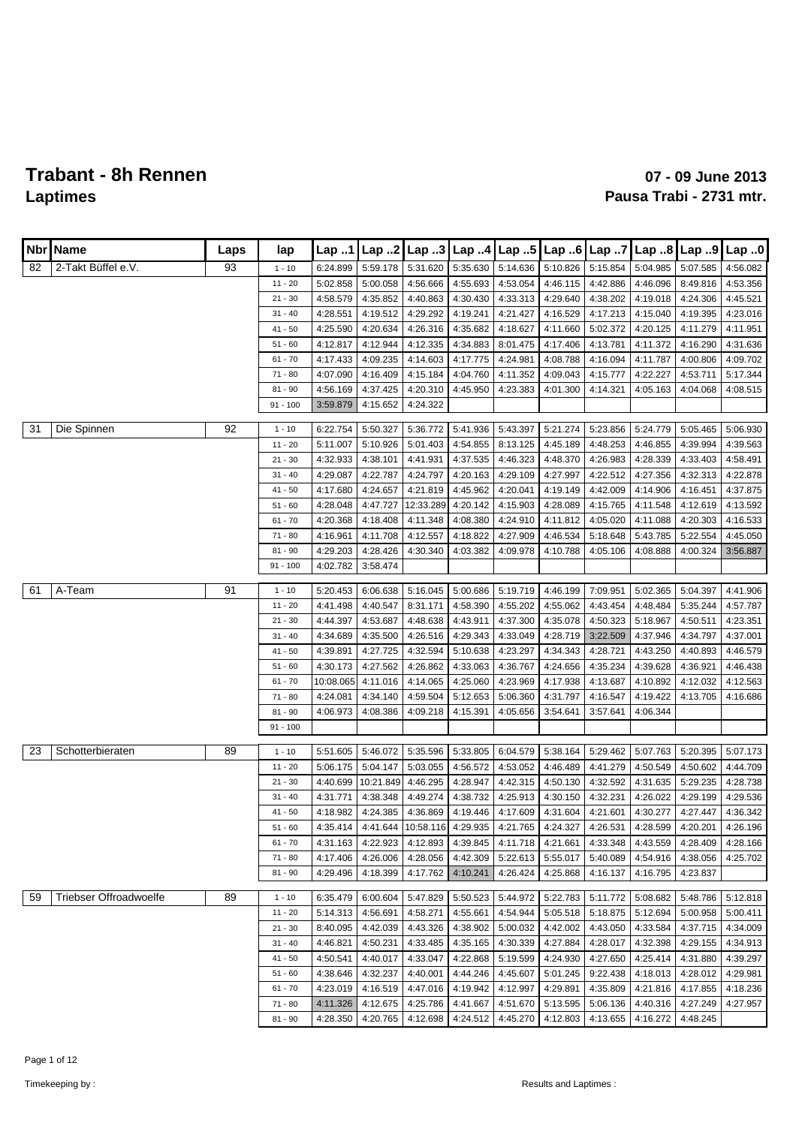|    | Nbr   Name             | Laps | lap        | Lap 1     | Lap.2     |                   |                    | Lap 3 Lap 4 Lap 5 |          |          | Lap 6 Lap 7 Lap 8 Lap 9        |          | Lap.0    |
|----|------------------------|------|------------|-----------|-----------|-------------------|--------------------|-------------------|----------|----------|--------------------------------|----------|----------|
| 82 | 2-Takt Büffel e.V.     | 93   | $1 - 10$   | 6:24.899  | 5:59.178  | 5:31.620          | 5:35.630           | 5:14.636          | 5:10.826 | 5:15.854 | 5:04.985                       | 5:07.585 | 4:56.082 |
|    |                        |      | $11 - 20$  | 5:02.858  | 5:00.058  | 4:56.666          | 4:55.693           | 4:53.054          | 4:46.115 | 4:42.886 | 4:46.096                       | 8:49.816 | 4:53.356 |
|    |                        |      | $21 - 30$  | 4:58.579  | 4:35.852  | 4:40.863          | 4:30.430           | 4:33.313          | 4:29.640 | 4:38.202 | 4:19.018                       | 4:24.306 | 4:45.521 |
|    |                        |      | $31 - 40$  | 4:28.551  | 4:19.512  | 4:29.292          | 4:19.241           | 4:21.427          | 4:16.529 | 4:17.213 | 4:15.040                       | 4:19.395 | 4:23.016 |
|    |                        |      | $41 - 50$  | 4:25.590  | 4:20.634  | 4:26.316          | 4:35.682           | 4:18.627          | 4:11.660 | 5:02.372 | 4:20.125                       | 4:11.279 | 4:11.951 |
|    |                        |      | $51 - 60$  | 4:12.817  | 4:12.944  | 4:12.335          | 4:34.883           | 8:01.475          | 4:17.406 | 4:13.781 | 4:11.372                       | 4:16.290 | 4:31.636 |
|    |                        |      | $61 - 70$  | 4:17.433  | 4:09.235  | 4:14.603          | 4:17.775           | 4:24.981          | 4:08.788 | 4:16.094 | 4:11.787                       | 4:00.806 | 4:09.702 |
|    |                        |      | $71 - 80$  | 4:07.090  | 4:16.409  | 4:15.184          | 4:04.760           | 4:11.352          | 4:09.043 | 4:15.777 | 4:22.227                       | 4:53.711 | 5:17.344 |
|    |                        |      | $81 - 90$  | 4:56.169  | 4:37.425  | 4:20.310          | 4:45.950           | 4:23.383          | 4:01.300 | 4:14.321 | 4:05.163                       | 4:04.068 | 4:08.515 |
|    |                        |      | $91 - 100$ | 3:59.879  | 4:15.652  | 4:24.322          |                    |                   |          |          |                                |          |          |
| 31 | Die Spinnen            | 92   | $1 - 10$   | 6:22.754  | 5:50.327  | 5:36.772          | 5:41.936           | 5:43.397          | 5:21.274 | 5:23.856 | 5:24.779                       | 5:05.465 | 5:06.930 |
|    |                        |      | $11 - 20$  | 5:11.007  | 5:10.926  | 5:01.403          | 4:54.855           | 8:13.125          | 4:45.189 | 4:48.253 | 4:46.855                       | 4:39.994 | 4:39.563 |
|    |                        |      | $21 - 30$  | 4:32.933  | 4:38.101  | 4:41.931          | 4:37.535           | 4:46.323          | 4:48.370 | 4:26.983 | 4:28.339                       | 4:33.403 | 4:58.491 |
|    |                        |      | $31 - 40$  | 4:29.087  | 4:22.787  | 4:24.797          | 4:20.163           | 4:29.109          | 4:27.997 | 4:22.512 | 4:27.356                       | 4:32.313 | 4:22.878 |
|    |                        |      | $41 - 50$  | 4:17.680  | 4:24.657  | 4:21.819          | 4:45.962           | 4:20.041          | 4:19.149 | 4:42.009 | 4:14.906                       | 4:16.451 | 4:37.875 |
|    |                        |      | $51 - 60$  | 4:28.048  | 4:47.727  | 12:33.289         | 4:20.142           | 4:15.903          | 4:28.089 | 4:15.765 | 4:11.548                       | 4:12.619 | 4:13.592 |
|    |                        |      | $61 - 70$  | 4:20.368  | 4:18.408  | 4:11.348          | 4:08.380           | 4:24.910          | 4:11.812 | 4:05.020 | 4:11.088                       | 4:20.303 | 4:16.533 |
|    |                        |      | $71 - 80$  | 4:16.961  | 4:11.708  | 4:12.557          | 4:18.822           | 4:27.909          | 4:46.534 | 5:18.648 | 5:43.785                       | 5:22.554 | 4:45.050 |
|    |                        |      | $81 - 90$  | 4:29.203  | 4:28.426  | 4:30.340          | 4:03.382           | 4:09.978          | 4:10.788 | 4:05.106 | 4:08.888                       | 4:00.324 | 3:56.887 |
|    |                        |      | $91 - 100$ | 4:02.782  | 3:58.474  |                   |                    |                   |          |          |                                |          |          |
|    |                        |      |            |           |           |                   |                    |                   |          |          |                                |          |          |
| 61 | A-Team                 | 91   | $1 - 10$   | 5:20.453  | 6:06.638  | 5:16.045          | 5:00.686           | 5:19.719          | 4:46.199 | 7:09.951 | 5:02.365                       | 5:04.397 | 4:41.906 |
|    |                        |      | $11 - 20$  | 4:41.498  | 4:40.547  | 8:31.171          | 4:58.390           | 4:55.202          | 4:55.062 | 4:43.454 | 4:48.484                       | 5:35.244 | 4:57.787 |
|    |                        |      | $21 - 30$  | 4:44.397  | 4:53.687  | 4:48.638          | 4:43.911           | 4:37.300          | 4:35.078 | 4:50.323 | 5:18.967                       | 4:50.511 | 4:23.351 |
|    |                        |      | $31 - 40$  | 4:34.689  | 4:35.500  | 4:26.516          | 4:29.343           | 4:33.049          | 4:28.719 | 3:22.509 | 4:37.946                       | 4:34.797 | 4:37.001 |
|    |                        |      | $41 - 50$  | 4:39.891  | 4:27.725  | 4:32.594          | 5:10.638           | 4:23.297          | 4:34.343 | 4:28.721 | 4:43.250                       | 4:40.893 | 4:46.579 |
|    |                        |      | $51 - 60$  | 4:30.173  | 4:27.562  | 4:26.862          | 4:33.063           | 4:36.767          | 4:24.656 | 4:35.234 | 4:39.628                       | 4:36.921 | 4:46.438 |
|    |                        |      | $61 - 70$  | 10:08.065 | 4:11.016  | 4:14.065          | 4:25.060           | 4:23.969          | 4:17.938 | 4:13.687 | 4:10.892                       | 4:12.032 | 4:12.563 |
|    |                        |      | $71 - 80$  | 4:24.081  | 4:34.140  | 4:59.504          | 5:12.653           | 5:06.360          | 4:31.797 | 4:16.547 | 4:19.422                       | 4:13.705 | 4:16.686 |
|    |                        |      | $81 - 90$  | 4:06.973  | 4:08.386  | 4:09.218          | 4:15.391           | 4:05.656          | 3:54.641 | 3:57.641 | 4:06.344                       |          |          |
|    |                        |      | $91 - 100$ |           |           |                   |                    |                   |          |          |                                |          |          |
| 23 | Schotterbieraten       | 89   | $1 - 10$   | 5:51.605  | 5:46.072  | 5:35.596          | 5:33.805           | 6:04.579          | 5:38.164 | 5:29.462 | 5:07.763                       | 5:20.395 | 5:07.173 |
|    |                        |      | $11 - 20$  | 5:06.175  | 5:04.147  | 5:03.055          | 4:56.572           | 4:53.052          | 4:46.489 | 4:41.279 | 4:50.549                       | 4:50.602 | 4:44.709 |
|    |                        |      | $21 - 30$  | 4:40.699  | 10:21.849 | 4:46.295          | 4:28.947           | 4:42.315          | 4:50.130 | 4:32.592 | 4:31.635                       | 5:29.235 | 4:28.738 |
|    |                        |      | $31 - 40$  | 4:31.771  | 4:38.348  | 4:49.274          | 4:38.732           | 4:25.913          | 4:30.150 | 4:32.231 | 4:26.022                       | 4:29.199 | 4:29.536 |
|    |                        |      | $41 - 50$  | 4:18.982  | 4:24.385  | 4:36.869          | 4:19.446           | 4:17.609          | 4:31.604 | 4:21.601 | 4:30.277                       | 4:27.447 | 4:36.342 |
|    |                        |      | $51 - 60$  | 4:35.414  | 4:41.644  |                   | 10:58.116 4:29.935 | 4:21.765 4:24.327 |          | 4:26.531 | 4:28.599                       | 4:20.201 | 4:26.196 |
|    |                        |      | $61 - 70$  | 4:31.163  | 4:22.923  | 4:12.893          | 4:39.845           | 4:11.718          | 4:21.661 | 4:33.348 | 4:43.559                       | 4:28.409 | 4:28.166 |
|    |                        |      | 71 - 80    | 4:17.406  | 4:26.006  | 4:28.056          | 4:42.309           | 5:22.613          | 5:55.017 | 5:40.089 | 4:54.916                       | 4:38.056 | 4:25.702 |
|    |                        |      | $81 - 90$  | 4:29.496  | 4:18.399  | 4:17.762          | 4:10.241           | 4:26.424          | 4:25.868 | 4:16.137 | 4:16.795                       | 4:23.837 |          |
|    |                        |      |            |           |           |                   |                    |                   |          |          |                                |          |          |
| 59 | Triebser Offroadwoelfe | 89   | $1 - 10$   | 6:35.479  | 6:00.604  | 5:47.829          | 5:50.523           | 5:44.972          | 5:22.783 | 5:11.772 | 5:08.682                       | 5:48.786 | 5:12.818 |
|    |                        |      | $11 - 20$  | 5:14.313  | 4:56.691  | 4:58.271          | 4:55.661           | 4:54.944          | 5:05.518 | 5:18.875 | 5:12.694                       | 5:00.958 | 5:00.411 |
|    |                        |      | $21 - 30$  | 8:40.095  | 4:42.039  | 4:43.326          | 4:38.902           | 5:00.032          | 4:42.002 | 4:43.050 | 4:33.584                       | 4:37.715 | 4:34.009 |
|    |                        |      | $31 - 40$  | 4:46.821  | 4:50.231  | 4:33.485          | 4:35.165           | 4:30.339          | 4:27.884 | 4:28.017 | 4:32.398                       | 4:29.155 | 4:34.913 |
|    |                        |      | $41 - 50$  | 4:50.541  | 4:40.017  | 4:33.047          | 4:22.868           | 5:19.599          | 4:24.930 | 4:27.650 | 4:25.414                       | 4:31.880 | 4:39.297 |
|    |                        |      | $51 - 60$  | 4:38.646  | 4:32.237  | 4:40.001          | 4:44.246           | 4:45.607          | 5:01.245 | 9:22.438 | 4:18.013                       | 4:28.012 | 4:29.981 |
|    |                        |      | $61 - 70$  | 4:23.019  | 4:16.519  | 4:47.016          | 4:19.942           | 4:12.997          | 4:29.891 | 4:35.809 | 4:21.816                       | 4:17.855 | 4:18.236 |
|    |                        |      | 71 - 80    | 4:11.326  | 4:12.675  | 4:25.786          | 4:41.667           | 4:51.670          | 5:13.595 | 5:06.136 | 4:40.316                       | 4:27.249 | 4:27.957 |
|    |                        |      | $81 - 90$  | 4:28.350  |           | 4:20.765 4:12.698 |                    | 4:24.512 4:45.270 | 4:12.803 |          | 4:13.655   4:16.272   4:48.245 |          |          |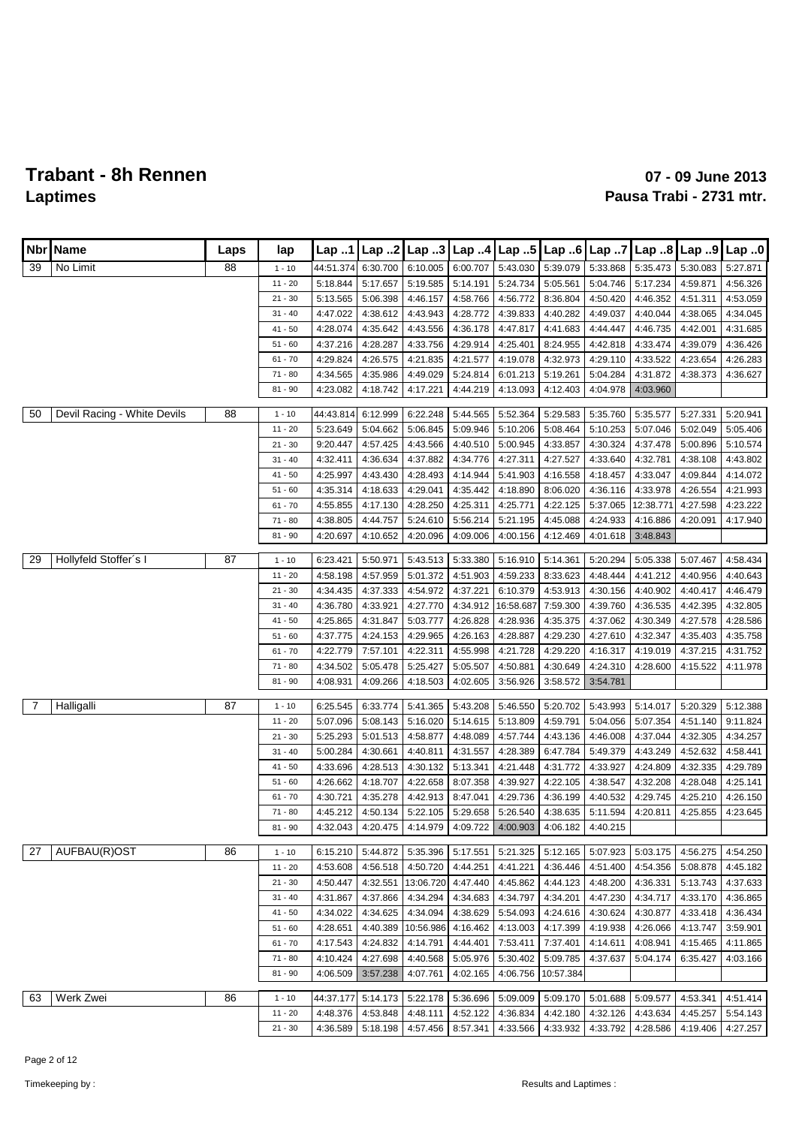| Nbr | Name                        | Laps | lap                   | Lap 1                 | Lap.2                |                      |                      | Lap 3   Lap 4   Lap 5   Lap 6 |                      | Lap7                 | Lap.8                | $\mathsf{Lap}$ 9     | Lap.0                |
|-----|-----------------------------|------|-----------------------|-----------------------|----------------------|----------------------|----------------------|-------------------------------|----------------------|----------------------|----------------------|----------------------|----------------------|
|     | No Limit                    | 88   |                       |                       |                      |                      |                      |                               |                      |                      |                      |                      |                      |
| 39  |                             |      | $1 - 10$<br>$11 - 20$ | 44:51.374<br>5:18.844 | 6:30.700<br>5:17.657 | 6:10.005<br>5:19.585 | 6:00.707<br>5:14.191 | 5:43.030<br>5:24.734          | 5:39.079<br>5:05.561 | 5:33.868<br>5:04.746 | 5:35.473<br>5:17.234 | 5:30.083<br>4:59.871 | 5:27.871<br>4:56.326 |
|     |                             |      | $21 - 30$             | 5:13.565              | 5:06.398             | 4:46.157             | 4:58.766             | 4:56.772                      | 8:36.804             | 4:50.420             | 4:46.352             | 4:51.311             | 4:53.059             |
|     |                             |      | $31 - 40$             | 4:47.022              | 4:38.612             | 4:43.943             | 4:28.772             | 4:39.833                      | 4:40.282             | 4:49.037             | 4:40.044             | 4:38.065             | 4:34.045             |
|     |                             |      | $41 - 50$             | 4:28.074              | 4:35.642             | 4:43.556             | 4:36.178             | 4:47.817                      | 4:41.683             | 4:44.447             | 4:46.735             | 4:42.001             | 4:31.685             |
|     |                             |      | $51 - 60$             | 4:37.216              | 4:28.287             | 4:33.756             | 4:29.914             | 4:25.401                      | 8:24.955             | 4:42.818             | 4:33.474             | 4:39.079             | 4:36.426             |
|     |                             |      | $61 - 70$             | 4:29.824              | 4:26.575             | 4:21.835             | 4:21.577             | 4:19.078                      | 4:32.973             | 4:29.110             | 4:33.522             | 4:23.654             | 4:26.283             |
|     |                             |      | $71 - 80$             | 4:34.565              | 4:35.986             | 4:49.029             | 5:24.814             | 6:01.213                      | 5:19.261             | 5:04.284             | 4:31.872             | 4:38.373             | 4:36.627             |
|     |                             |      | $81 - 90$             | 4:23.082              | 4:18.742             | 4:17.221             | 4:44.219             | 4:13.093                      | 4:12.403             | 4:04.978             | 4:03.960             |                      |                      |
|     |                             |      |                       |                       |                      |                      |                      |                               |                      |                      |                      |                      |                      |
| 50  | Devil Racing - White Devils | 88   | $1 - 10$              | 44:43.814             | 6:12.999             | 6:22.248             | 5:44.565             | 5:52.364                      | 5:29.583             | 5:35.760             | 5:35.577             | 5:27.331             | 5:20.941             |
|     |                             |      | $11 - 20$             | 5:23.649              | 5:04.662             | 5:06.845             | 5:09.946             | 5:10.206                      | 5:08.464             | 5:10.253             | 5:07.046             | 5:02.049             | 5:05.406             |
|     |                             |      | $21 - 30$             | 9:20.447              | 4:57.425             | 4:43.566             | 4:40.510             | 5:00.945                      | 4:33.857             | 4:30.324             | 4:37.478             | 5:00.896             | 5:10.574             |
|     |                             |      | $31 - 40$             | 4:32.411              | 4:36.634             | 4:37.882             | 4:34.776             | 4:27.311                      | 4:27.527             | 4:33.640             | 4:32.781             | 4:38.108             | 4:43.802             |
|     |                             |      | $41 - 50$             | 4:25.997              | 4:43.430             | 4:28.493             | 4:14.944             | 5:41.903                      | 4:16.558             | 4:18.457             | 4:33.047             | 4:09.844             | 4:14.072             |
|     |                             |      | $51 - 60$             | 4:35.314              | 4:18.633             | 4:29.041             | 4:35.442             | 4:18.890                      | 8:06.020             | 4:36.116             | 4:33.978             | 4:26.554             | 4:21.993             |
|     |                             |      | $61 - 70$             | 4:55.855              | 4:17.130             | 4:28.250             | 4:25.311             | 4:25.771                      | 4:22.125             | 5:37.065             | 12:38.771            | 4:27.598             | 4:23.222             |
|     |                             |      | $71 - 80$             | 4:38.805              | 4:44.757             | 5:24.610             | 5:56.214             | 5:21.195                      | 4:45.088             | 4:24.933             | 4:16.886             | 4:20.091             | 4:17.940             |
|     |                             |      | $81 - 90$             | 4:20.697              | 4:10.652             | 4:20.096             | 4:09.006             | 4:00.156                      | 4:12.469             | 4:01.618             | 3:48.843             |                      |                      |
| 29  | Hollyfeld Stoffer's I       | 87   | $1 - 10$              | 6:23.421              | 5:50.971             | 5:43.513             | 5:33.380             | 5:16.910                      | 5:14.361             | 5:20.294             | 5:05.338             | 5:07.467             | 4:58.434             |
|     |                             |      | $11 - 20$             | 4:58.198              | 4:57.959             | 5:01.372             | 4:51.903             | 4:59.233                      | 8:33.623             | 4:48.444             | 4:41.212             | 4:40.956             | 4:40.643             |
|     |                             |      | $21 - 30$             | 4:34.435              | 4:37.333             | 4:54.972             | 4:37.221             | 6:10.379                      | 4:53.913             | 4:30.156             | 4:40.902             | 4:40.417             | 4:46.479             |
|     |                             |      | $31 - 40$             | 4:36.780              | 4:33.921             | 4:27.770             | 4:34.912             | 16:58.687                     | 7:59.300             | 4:39.760             | 4:36.535             | 4:42.395             | 4:32.805             |
|     |                             |      | $41 - 50$             | 4:25.865              | 4:31.847             | 5:03.777             | 4:26.828             | 4:28.936                      | 4:35.375             | 4:37.062             | 4:30.349             | 4:27.578             | 4:28.586             |
|     |                             |      | $51 - 60$             | 4:37.775              | 4:24.153             | 4:29.965             | 4:26.163             | 4:28.887                      | 4:29.230             | 4:27.610             | 4:32.347             | 4:35.403             | 4:35.758             |
|     |                             |      | $61 - 70$             | 4:22.779              | 7:57.101             | 4:22.311             | 4:55.998             | 4:21.728                      | 4:29.220             | 4:16.317             | 4:19.019             | 4:37.215             | 4:31.752             |
|     |                             |      | $71 - 80$             | 4:34.502              | 5:05.478             | 5:25.427             | 5:05.507             | 4:50.881                      | 4:30.649             | 4:24.310             | 4:28.600             | 4:15.522             | 4:11.978             |
|     |                             |      | $81 - 90$             | 4:08.931              | 4:09.266             | 4:18.503             | 4:02.605             | 3:56.926                      | 3:58.572             | 3:54.781             |                      |                      |                      |
| 7   | Halligalli                  | 87   | $1 - 10$              | 6:25.545              | 6:33.774             | 5:41.365             | 5:43.208             | 5:46.550                      | 5:20.702             | 5:43.993             | 5:14.017             | 5:20.329             | 5:12.388             |
|     |                             |      | $11 - 20$             | 5:07.096              | 5:08.143             | 5:16.020             | 5:14.615             | 5:13.809                      | 4:59.791             | 5:04.056             | 5:07.354             | 4:51.140             | 9:11.824             |
|     |                             |      | $21 - 30$             | 5:25.293              | 5:01.513             | 4:58.877             | 4:48.089             | 4:57.744                      | 4:43.136             | 4:46.008             | 4:37.044             | 4:32.305             | 4:34.257             |
|     |                             |      | $31 - 40$             | 5:00.284              | 4:30.661             | 4:40.811             | 4:31.557             | 4:28.389                      | 6:47.784             | 5:49.379             | 4:43.249             | 4:52.632             | 4:58.441             |
|     |                             |      | $41 - 50$             | 4:33.696              | 4:28.513             | 4:30.132             | 5:13.341             | 4:21.448                      | 4:31.772             | 4:33.927             | 4:24.809             | 4:32.335             | 4:29.789             |
|     |                             |      | $51 - 60$             | 4:26.662              | 4:18.707             | 4:22.658             | 8:07.358             | 4:39.927                      | 4:22.105             | 4:38.547             | 4:32.208             | 4:28.048             | 4:25.141             |
|     |                             |      | $61 - 70$             | 4:30.721              | 4:35.278             | 4:42.913             | 8:47.041             | 4:29.736                      | 4:36.199             | 4:40.532             | 4:29.745             | 4:25.210             | 4:26.150             |
|     |                             |      | $71 - 80$             | 4:45.212              | 4:50.134             | 5:22.105             | 5:29.658             | 5:26.540                      | 4:38.635             | 5:11.594             | 4:20.811             | 4:25.855             | 4:23.645             |
|     |                             |      | $81 - 90$             | 4:32.043              | 4:20.475             | 4:14.979             | 4:09.722             | 4:00.903                      | 4:06.182             | 4:40.215             |                      |                      |                      |
| 27  | AUFBAU(R)OST                | 86   | $1 - 10$              | 6:15.210              | 5:44.872             | 5:35.396             | 5:17.551             | 5:21.325                      | 5:12.165             | 5:07.923             | 5:03.175             | 4:56.275             | 4:54.250             |
|     |                             |      | $11 - 20$             | 4:53.608              | 4:56.518             | 4:50.720             | 4:44.251             | 4:41.221                      | 4:36.446             | 4:51.400             | 4:54.356             | 5:08.878             | 4:45.182             |
|     |                             |      | $21 - 30$             | 4:50.447              | 4:32.551             | 13:06.720            | 4:47.440             | 4:45.862                      | 4:44.123             | 4:48.200             | 4:36.331             | 5:13.743             | 4:37.633             |
|     |                             |      | $31 - 40$             | 4:31.867              | 4:37.866             | 4:34.294             | 4:34.683             | 4:34.797                      | 4:34.201             | 4:47.230             | 4:34.717             | 4:33.170             | 4:36.865             |
|     |                             |      | $41 - 50$             | 4:34.022              | 4:34.625             | 4:34.094             | 4:38.629             | 5:54.093                      | 4:24.616             | 4:30.624             | 4:30.877             | 4:33.418             | 4:36.434             |
|     |                             |      | $51 - 60$             | 4:28.651              | 4:40.389             | 10:56.986            | 4:16.462             | 4:13.003                      | 4:17.399             | 4:19.938             | 4:26.066             | 4:13.747             | 3:59.901             |
|     |                             |      | $61 - 70$             | 4:17.543              | 4:24.832             | 4:14.791             | 4:44.401             | 7:53.411                      | 7:37.401             | 4:14.611             | 4:08.941             | 4:15.465             | 4:11.865             |
|     |                             |      | $71 - 80$             | 4:10.424              | 4:27.698             | 4:40.568             | 5:05.976             | 5:30.402                      | 5:09.785             | 4:37.637             | 5:04.174             | 6:35.427             | 4:03.166             |
|     |                             |      | $81 - 90$             | 4:06.509              | 3:57.238             | 4:07.761             | 4:02.165             | 4:06.756                      | 10:57.384            |                      |                      |                      |                      |
| 63  | Werk Zwei                   | 86   | $1 - 10$              | 44:37.177             | 5:14.173             | 5:22.178             | 5:36.696             | 5:09.009                      | 5:09.170             | 5:01.688             | 5:09.577             | 4:53.341             | 4:51.414             |
|     |                             |      | $11 - 20$             | 4:48.376              | 4:53.848             | 4:48.111             | 4:52.122             | 4:36.834                      | 4:42.180             | 4:32.126             | 4:43.634             | 4:45.257             | 5:54.143             |
|     |                             |      | $21 - 30$             | 4:36.589              | 5:18.198             | 4:57.456             | 8:57.341             | 4:33.566                      | 4:33.932             | 4:33.792             | 4:28.586             | 4:19.406             | 4:27.257             |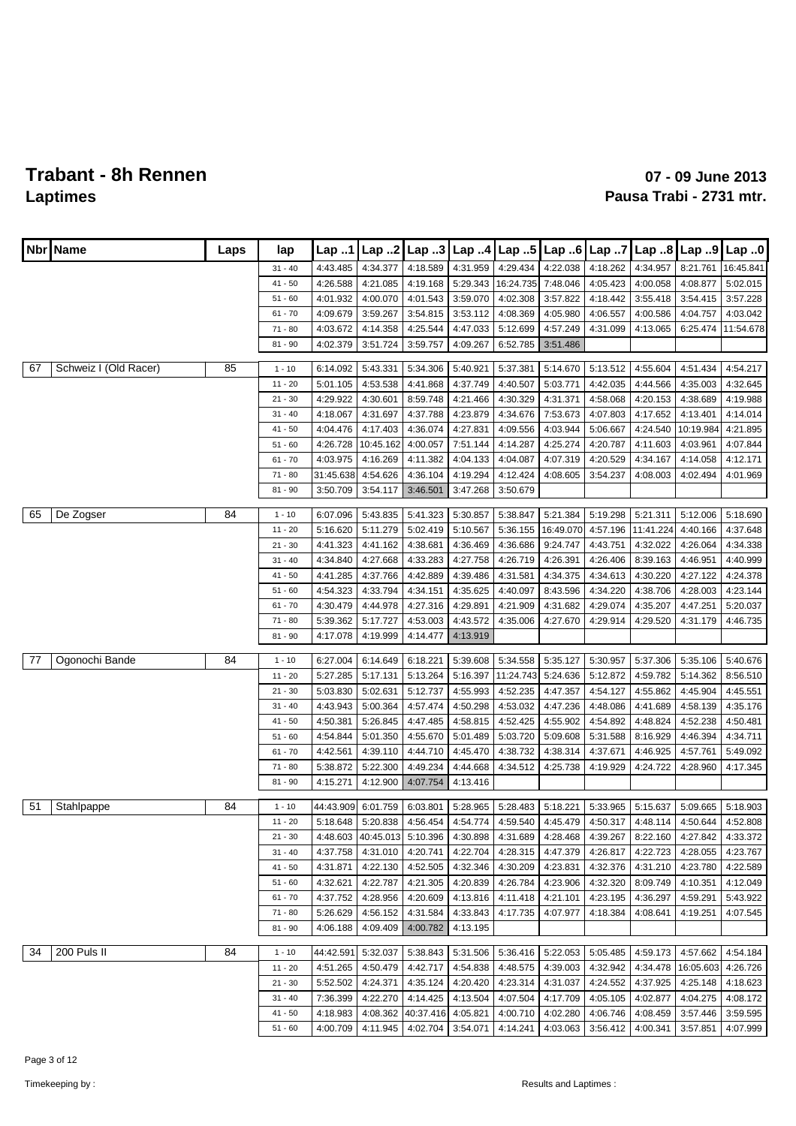|    | Nbr   Name            | Laps | lap       | Lap 1     | Lap 2     | Lap.3              | Lap.4    | $\vert$ Lap 5                                 | Lap.6     | Lap 7    | Lap 8     | Lap 9     | Lap.0     |
|----|-----------------------|------|-----------|-----------|-----------|--------------------|----------|-----------------------------------------------|-----------|----------|-----------|-----------|-----------|
|    |                       |      | $31 - 40$ | 4:43.485  | 4:34.377  | 4:18.589           | 4:31.959 | 4:29.434                                      | 4:22.038  | 4:18.262 | 4:34.957  | 8:21.761  | 16:45.841 |
|    |                       |      | $41 - 50$ | 4:26.588  | 4:21.085  | 4:19.168           | 5:29.343 | 16:24.735                                     | 7:48.046  | 4:05.423 | 4:00.058  | 4:08.877  | 5:02.015  |
|    |                       |      | $51 - 60$ | 4:01.932  | 4:00.070  | 4:01.543           | 3:59.070 | 4:02.308                                      | 3:57.822  | 4:18.442 | 3:55.418  | 3:54.415  | 3:57.228  |
|    |                       |      | $61 - 70$ | 4:09.679  | 3:59.267  | 3:54.815           | 3:53.112 | 4:08.369                                      | 4:05.980  | 4:06.557 | 4:00.586  | 4:04.757  | 4:03.042  |
|    |                       |      | $71 - 80$ | 4:03.672  | 4:14.358  | 4:25.544           | 4:47.033 | 5:12.699                                      | 4:57.249  | 4:31.099 | 4:13.065  | 6:25.474  | 11:54.678 |
|    |                       |      | $81 - 90$ | 4:02.379  | 3:51.724  | 3:59.757           | 4:09.267 | 6:52.785                                      | 3:51.486  |          |           |           |           |
| 67 | Schweiz I (Old Racer) | 85   | $1 - 10$  | 6:14.092  | 5:43.331  | 5:34.306           | 5:40.921 | 5:37.381                                      | 5:14.670  | 5:13.512 | 4:55.604  | 4:51.434  | 4:54.217  |
|    |                       |      | $11 - 20$ | 5:01.105  | 4:53.538  | 4:41.868           | 4:37.749 | 4:40.507                                      | 5:03.771  | 4:42.035 | 4:44.566  | 4:35.003  | 4:32.645  |
|    |                       |      | $21 - 30$ | 4:29.922  | 4:30.601  | 8:59.748           | 4:21.466 | 4:30.329                                      | 4:31.371  | 4:58.068 | 4:20.153  | 4:38.689  | 4:19.988  |
|    |                       |      | $31 - 40$ | 4:18.067  | 4:31.697  | 4:37.788           | 4:23.879 | 4:34.676                                      | 7:53.673  | 4:07.803 | 4:17.652  | 4:13.401  | 4:14.014  |
|    |                       |      | $41 - 50$ | 4:04.476  | 4:17.403  | 4:36.074           | 4:27.831 | 4:09.556                                      | 4:03.944  | 5:06.667 | 4:24.540  | 10:19.984 | 4:21.895  |
|    |                       |      | $51 - 60$ | 4:26.728  | 10:45.162 | 4:00.057           | 7:51.144 | 4:14.287                                      | 4:25.274  | 4:20.787 | 4:11.603  | 4:03.961  | 4:07.844  |
|    |                       |      | $61 - 70$ | 4:03.975  | 4:16.269  | 4:11.382           | 4:04.133 | 4:04.087                                      | 4:07.319  | 4:20.529 | 4:34.167  | 4:14.058  | 4:12.171  |
|    |                       |      | $71 - 80$ | 31:45.638 | 4:54.626  | 4:36.104           | 4:19.294 | 4:12.424                                      | 4:08.605  | 3:54.237 | 4:08.003  | 4:02.494  | 4:01.969  |
|    |                       |      | $81 - 90$ | 3:50.709  | 3:54.117  | 3:46.501           | 3:47.268 | 3:50.679                                      |           |          |           |           |           |
|    |                       |      |           |           |           |                    |          |                                               |           |          |           |           |           |
| 65 | De Zogser             | 84   | $1 - 10$  | 6:07.096  | 5:43.835  | 5:41.323           | 5:30.857 | 5:38.847                                      | 5:21.384  | 5:19.298 | 5:21.311  | 5:12.006  | 5:18.690  |
|    |                       |      | $11 - 20$ | 5:16.620  | 5:11.279  | 5:02.419           | 5:10.567 | 5:36.155                                      | 16:49.070 | 4:57.196 | 11:41.224 | 4:40.166  | 4:37.648  |
|    |                       |      | $21 - 30$ | 4:41.323  | 4:41.162  | 4:38.681           | 4:36.469 | 4:36.686                                      | 9:24.747  | 4:43.751 | 4:32.022  | 4:26.064  | 4:34.338  |
|    |                       |      | $31 - 40$ | 4:34.840  | 4:27.668  | 4:33.283           | 4:27.758 | 4:26.719                                      | 4:26.391  | 4:26.406 | 8:39.163  | 4:46.951  | 4:40.999  |
|    |                       |      | $41 - 50$ | 4:41.285  | 4:37.766  | 4:42.889           | 4:39.486 | 4:31.581                                      | 4:34.375  | 4:34.613 | 4:30.220  | 4:27.122  | 4:24.378  |
|    |                       |      | $51 - 60$ | 4:54.323  | 4:33.794  | 4:34.151           | 4:35.625 | 4:40.097                                      | 8:43.596  | 4:34.220 | 4:38.706  | 4:28.003  | 4:23.144  |
|    |                       |      | $61 - 70$ | 4:30.479  | 4:44.978  | 4:27.316           | 4:29.891 | 4:21.909                                      | 4:31.682  | 4:29.074 | 4:35.207  | 4:47.251  | 5:20.037  |
|    |                       |      | $71 - 80$ | 5:39.362  | 5:17.727  | 4:53.003           | 4:43.572 | 4:35.006                                      | 4:27.670  | 4:29.914 | 4:29.520  | 4:31.179  | 4:46.735  |
|    |                       |      | $81 - 90$ | 4:17.078  | 4:19.999  | 4:14.477           | 4:13.919 |                                               |           |          |           |           |           |
| 77 | Ogonochi Bande        | 84   | $1 - 10$  | 6:27.004  | 6:14.649  | 6:18.221           | 5:39.608 | 5:34.558                                      | 5:35.127  | 5:30.957 | 5:37.306  | 5:35.106  | 5:40.676  |
|    |                       |      | $11 - 20$ | 5:27.285  | 5:17.131  | 5:13.264           | 5:16.397 | 11:24.743                                     | 5:24.636  | 5:12.872 | 4:59.782  | 5:14.362  | 8:56.510  |
|    |                       |      | $21 - 30$ | 5:03.830  | 5:02.631  | 5:12.737           | 4:55.993 | 4:52.235                                      | 4:47.357  | 4:54.127 | 4:55.862  | 4:45.904  | 4:45.551  |
|    |                       |      | $31 - 40$ | 4:43.943  | 5:00.364  | 4:57.474           | 4:50.298 | 4:53.032                                      | 4:47.236  | 4:48.086 | 4:41.689  | 4:58.139  | 4:35.176  |
|    |                       |      | $41 - 50$ | 4:50.381  | 5:26.845  | 4:47.485           | 4:58.815 | 4:52.425                                      | 4:55.902  | 4:54.892 | 4:48.824  | 4:52.238  | 4:50.481  |
|    |                       |      | $51 - 60$ | 4:54.844  | 5:01.350  | 4:55.670           | 5:01.489 | 5:03.720                                      | 5:09.608  | 5:31.588 | 8:16.929  | 4:46.394  | 4:34.711  |
|    |                       |      | $61 - 70$ | 4:42.561  | 4:39.110  | 4:44.710           | 4:45.470 | 4:38.732                                      | 4:38.314  | 4:37.671 | 4:46.925  | 4:57.761  | 5:49.092  |
|    |                       |      | $71 - 80$ | 5:38.872  | 5:22.300  | 4:49.234           | 4:44.668 | 4:34.512                                      | 4:25.738  | 4:19.929 | 4:24.722  | 4:28.960  | 4:17.345  |
|    |                       |      | $81 - 90$ | 4:15.271  | 4:12.900  | 4:07.754           | 4:13.416 |                                               |           |          |           |           |           |
|    |                       |      |           |           |           |                    |          |                                               |           |          |           |           |           |
| 51 | Stahlpappe            | 84   | $1 - 10$  | 44:43.909 | 6:01.759  | 6:03.801           | 5:28.965 | 5:28.483                                      | 5:18.221  | 5:33.965 | 5:15.637  | 5:09.665  | 5:18.903  |
|    |                       |      | $11 - 20$ | 5:18.648  | 5:20.838  | 4:56.454           | 4:54.774 | 4:59.540                                      | 4:45.479  | 4:50.317 | 4:48.114  | 4:50.644  | 4:52.808  |
|    |                       |      | $21 - 30$ |           |           |                    |          | 4:48.603 40:45.013 5:10.396 4:30.898 4:31.689 | 4:28.468  | 4:39.267 | 8:22.160  | 4:27.842  | 4:33.372  |
|    |                       |      | $31 - 40$ | 4:37.758  | 4:31.010  | 4:20.741           | 4:22.704 | 4:28.315                                      | 4:47.379  | 4:26.817 | 4:22.723  | 4:28.055  | 4:23.767  |
|    |                       |      | $41 - 50$ | 4:31.871  | 4:22.130  | 4:52.505           | 4:32.346 | 4:30.209                                      | 4:23.831  | 4:32.376 | 4:31.210  | 4:23.780  | 4:22.589  |
|    |                       |      | $51 - 60$ | 4:32.621  | 4:22.787  | 4:21.305           | 4:20.839 | 4:26.784                                      | 4:23.906  | 4:32.320 | 8:09.749  | 4:10.351  | 4:12.049  |
|    |                       |      | $61 - 70$ | 4:37.752  | 4:28.956  | 4:20.609           | 4:13.816 | 4:11.418                                      | 4:21.101  | 4:23.195 | 4:36.297  | 4:59.291  | 5:43.922  |
|    |                       |      | 71 - 80   | 5:26.629  | 4:56.152  | 4:31.584           | 4:33.843 | 4:17.735                                      | 4:07.977  | 4:18.384 | 4:08.641  | 4:19.251  | 4:07.545  |
|    |                       |      | $81 - 90$ | 4:06.188  | 4:09.409  | 4:00.782           | 4:13.195 |                                               |           |          |           |           |           |
| 34 | 200 Puls II           | 84   | $1 - 10$  | 44:42.591 | 5:32.037  | 5:38.843           |          | 5:31.506   5:36.416                           | 5:22.053  | 5:05.485 | 4:59.173  | 4:57.662  | 4:54.184  |
|    |                       |      | $11 - 20$ | 4:51.265  | 4:50.479  | 4:42.717           | 4:54.838 | 4:48.575                                      | 4:39.003  | 4:32.942 | 4:34.478  | 16:05.603 | 4:26.726  |
|    |                       |      | $21 - 30$ | 5:52.502  | 4:24.371  | 4:35.124           | 4:20.420 | 4:23.314                                      | 4:31.037  | 4:24.552 | 4:37.925  | 4:25.148  | 4:18.623  |
|    |                       |      | $31 - 40$ | 7:36.399  | 4:22.270  | 4:14.425           | 4:13.504 | 4:07.504                                      | 4:17.709  | 4:05.105 | 4:02.877  | 4:04.275  | 4:08.172  |
|    |                       |      | $41 - 50$ | 4:18.983  | 4:08.362  | 40:37.416 4:05.821 |          | 4:00.710                                      | 4:02.280  | 4:06.746 | 4:08.459  | 3:57.446  | 3:59.595  |
|    |                       |      | $51 - 60$ | 4:00.709  | 4:11.945  |                    |          | 4:02.704 3:54.071 4:14.241                    | 4:03.063  | 3:56.412 | 4:00.341  | 3:57.851  | 4:07.999  |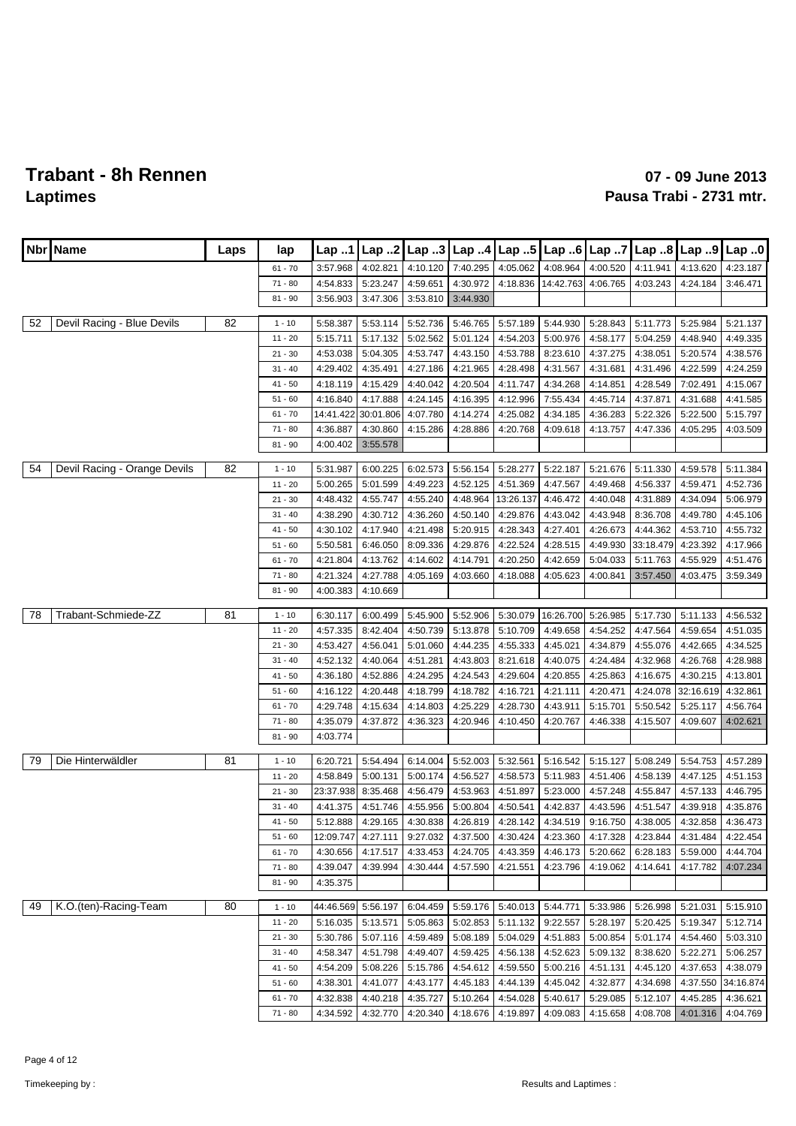| Nbr. | Name                         | Laps | lap                    | <b>Lap</b> 1         | Lap. .2              |                      | Lap 3 $\lfloor$ Lap 4 |                      |                      | Lap 6 Lap 7          |                      | Lap $8$ Lap $9$      | Lap.0                 |
|------|------------------------------|------|------------------------|----------------------|----------------------|----------------------|-----------------------|----------------------|----------------------|----------------------|----------------------|----------------------|-----------------------|
|      |                              |      | $61 - 70$              | 3:57.968             | 4:02.821             | 4:10.120             | 7:40.295              | 4:05.062             | 4:08.964             | 4:00.520             | 4:11.941             | 4:13.620             | 4:23.187              |
|      |                              |      | $71 - 80$              | 4:54.833             | 5:23.247             | 4:59.651             | 4:30.972              | 4:18.836             | 14:42.763            | 4:06.765             | 4:03.243             | 4:24.184             | 3:46.471              |
|      |                              |      | $81 - 90$              | 3:56.903             | 3:47.306             | 3:53.810             | 3:44.930              |                      |                      |                      |                      |                      |                       |
| 52   | Devil Racing - Blue Devils   | 82   | $1 - 10$               | 5:58.387             | 5:53.114             | 5:52.736             | 5:46.765              | 5:57.189             | 5:44.930             | 5:28.843             | 5:11.773             | 5:25.984             | 5:21.137              |
|      |                              |      | $11 - 20$              | 5:15.711             | 5:17.132             | 5:02.562             | 5:01.124              | 4:54.203             | 5:00.976             | 4:58.177             | 5:04.259             | 4:48.940             | 4:49.335              |
|      |                              |      | $21 - 30$              | 4:53.038             | 5:04.305             | 4:53.747             | 4:43.150              | 4:53.788             | 8:23.610             | 4:37.275             | 4:38.051             | 5:20.574             | 4:38.576              |
|      |                              |      | $31 - 40$              | 4:29.402             | 4:35.491             | 4:27.186             | 4:21.965              | 4:28.498             | 4:31.567             | 4:31.681             | 4:31.496             | 4:22.599             | 4:24.259              |
|      |                              |      | $41 - 50$              | 4:18.119             | 4:15.429             | 4:40.042             | 4:20.504              | 4:11.747             | 4:34.268             | 4:14.851             | 4:28.549             | 7:02.491             | 4:15.067              |
|      |                              |      | $51 - 60$              | 4:16.840             | 4:17.888             | 4:24.145             | 4:16.395              | 4:12.996             | 7:55.434             | 4:45.714             | 4:37.871             | 4:31.688             | 4:41.585              |
|      |                              |      | $61 - 70$              | 14:41.422            | 30:01.806            | 4:07.780             | 4:14.274              | 4:25.082             | 4:34.185             | 4:36.283             | 5:22.326             | 5:22.500             | 5:15.797              |
|      |                              |      | $71 - 80$              | 4:36.887             | 4:30.860             | 4:15.286             | 4:28.886              | 4:20.768             | 4:09.618             | 4:13.757             | 4:47.336             | 4:05.295             | 4:03.509              |
|      |                              |      | $81 - 90$              | 4:00.402             | 3:55.578             |                      |                       |                      |                      |                      |                      |                      |                       |
| 54   | Devil Racing - Orange Devils | 82   | $1 - 10$               | 5:31.987             | 6:00.225             | 6:02.573             | 5:56.154              | 5:28.277             | 5:22.187             | 5:21.676             | 5:11.330             | 4:59.578             | 5:11.384              |
|      |                              |      | $11 - 20$              | 5:00.265             | 5:01.599             | 4:49.223             | 4:52.125              | 4:51.369             | 4:47.567             | 4:49.468             | 4:56.337             | 4:59.471             | 4:52.736              |
|      |                              |      | $21 - 30$              | 4:48.432             | 4:55.747             | 4:55.240             | 4:48.964              | 13:26.137            | 4:46.472             | 4:40.048             | 4:31.889             | 4:34.094             | 5:06.979              |
|      |                              |      | $31 - 40$              | 4:38.290             | 4:30.712             | 4:36.260             | 4:50.140              | 4:29.876             | 4:43.042             | 4:43.948             | 8:36.708             | 4:49.780             | 4:45.106              |
|      |                              |      | $41 - 50$              | 4:30.102             | 4:17.940             | 4:21.498             | 5:20.915              | 4:28.343             | 4:27.401             | 4:26.673             | 4:44.362             | 4:53.710             | 4:55.732              |
|      |                              |      | $51 - 60$              | 5:50.581             | 6:46.050             | 8:09.336             | 4:29.876              | 4:22.524             | 4:28.515             | 4:49.930             | 33:18.479            | 4:23.392             | 4:17.966              |
|      |                              |      | $61 - 70$              | 4:21.804             | 4:13.762             | 4:14.602             | 4:14.791              | 4:20.250             | 4:42.659             | 5:04.033             | 5:11.763             | 4:55.929             | 4:51.476              |
|      |                              |      | $71 - 80$              | 4:21.324             | 4:27.788             | 4:05.169             | 4:03.660              | 4:18.088             | 4:05.623             | 4:00.841             | 3:57.450             | 4:03.475             | 3:59.349              |
|      |                              |      | $81 - 90$              | 4:00.383             | 4:10.669             |                      |                       |                      |                      |                      |                      |                      |                       |
| 78   | Trabant-Schmiede-ZZ          | 81   | $1 - 10$               | 6:30.117             | 6:00.499             | 5:45.900             | 5:52.906              | 5:30.079             | 16:26.700            | 5:26.985             | 5:17.730             | 5:11.133             | 4:56.532              |
|      |                              |      | $11 - 20$              | 4:57.335             | 8:42.404             | 4:50.739             | 5:13.878              | 5:10.709             | 4:49.658             | 4:54.252             | 4:47.564             | 4:59.654             | 4:51.035              |
|      |                              |      | $21 - 30$              | 4:53.427             | 4:56.041             | 5:01.060             | 4:44.235              | 4:55.333             | 4:45.021             | 4:34.879             | 4:55.076             | 4:42.665             | 4:34.525              |
|      |                              |      | $31 - 40$              | 4:52.132             | 4:40.064             | 4:51.281             | 4:43.803              | 8:21.618             | 4:40.075             | 4:24.484             | 4:32.968             | 4:26.768             | 4:28.988              |
|      |                              |      | $41 - 50$              | 4:36.180             | 4:52.886             | 4:24.295             | 4:24.543              | 4:29.604             | 4:20.855             | 4:25.863             | 4:16.675             | 4:30.215             | 4:13.801              |
|      |                              |      | $51 - 60$              | 4:16.122             | 4:20.448             | 4:18.799             | 4:18.782              | 4:16.721             | 4:21.111             | 4:20.471             | 4:24.078             | 32:16.619            | 4:32.861              |
|      |                              |      | $61 - 70$              | 4:29.748             | 4:15.634             | 4:14.803             | 4:25.229              | 4:28.730             | 4:43.911             | 5:15.701             | 5:50.542             | 5:25.117             | 4:56.764              |
|      |                              |      | $71 - 80$              | 4:35.079             | 4:37.872             | 4:36.323             | 4:20.946              | 4:10.450             | 4:20.767             | 4:46.338             | 4:15.507             | 4:09.607             | 4:02.621              |
|      |                              |      | $81 - 90$              | 4:03.774             |                      |                      |                       |                      |                      |                      |                      |                      |                       |
| 79   | Die Hinterwäldler            | 81   | $1 - 10$               |                      | 5:54.494             |                      | 5:52.003              | 5:32.561             | 5:16.542             |                      | 5:08.249             |                      |                       |
|      |                              |      | $11 - 20$              | 6:20.721<br>4:58.849 | 5:00.131             | 6:14.004<br>5:00.174 | 4:56.527              | 4:58.573             | 5:11.983             | 5:15.127<br>4:51.406 | 4:58.139             | 5:54.753<br>4:47.125 | 4:57.289<br>4:51.153  |
|      |                              |      | $21 - 30$              | 23:37.938            | 8:35.468             | 4:56.479             | 4:53.963              | 4:51.897             | 5:23.000             | 4:57.248             | 4:55.847             | 4:57.133             | 4:46.795              |
|      |                              |      | $31 - 40$              | 4:41.375             | 4:51.746             | 4:55.956             | 5:00.804              | 4:50.541             | 4:42.837             | 4:43.596             | 4:51.547             | 4:39.918             | 4:35.876              |
|      |                              |      | $41 - 50$              | 5:12.888             | 4:29.165             | 4:30.838             | 4:26.819              | 4:28.142             | 4:34.519             | 9:16.750             | 4:38.005             | 4:32.858             | 4:36.473              |
|      |                              |      | $51 - 60$              | 12:09.747            | 4:27.111             | 9:27.032             | 4:37.500              | 4:30.424             | 4:23.360             | 4:17.328             | 4:23.844             | 4:31.484             | 4:22.454              |
|      |                              |      | $61 - 70$              | 4:30.656             | 4:17.517             | 4:33.453             | 4:24.705              | 4:43.359             | 4:46.173             | 5:20.662             | 6:28.183             | 5:59.000             | 4:44.704              |
|      |                              |      | $71 - 80$              | 4:39.047             | 4:39.994             | 4:30.444             | 4:57.590              | 4:21.551             | 4:23.796             | 4:19.062             | 4:14.641             | 4:17.782             | 4:07.234              |
|      |                              |      | $81 - 90$              | 4:35.375             |                      |                      |                       |                      |                      |                      |                      |                      |                       |
|      |                              |      |                        |                      |                      |                      |                       |                      |                      |                      |                      |                      |                       |
| 49   | K.O.(ten)-Racing-Team        | 80   | $1 - 10$               | 44:46.569            | 5:56.197             | 6:04.459             | 5:59.176              | 5:40.013 5:44.771    |                      | 5:33.986             | 5:26.998             | 5:21.031             | 5:15.910              |
|      |                              |      | $11 - 20$              | 5:16.035             | 5:13.571             | 5:05.863             | 5:02.853              | 5:11.132             | 9:22.557             | 5:28.197             | 5:20.425             | 5:19.347             | 5:12.714              |
|      |                              |      | $21 - 30$              | 5:30.786             | 5:07.116             | 4:59.489             | 5:08.189              | 5:04.029             | 4:51.883             | 5:00.854             | 5:01.174             | 4:54.460             | 5:03.310              |
|      |                              |      | $31 - 40$              | 4:58.347             | 4:51.798             | 4:49.407             | 4:59.425              | 4:56.138             | 4:52.623<br>5:00.216 | 5:09.132             | 8:38.620             | 5:22.271             | 5:06.257              |
|      |                              |      | $41 - 50$<br>$51 - 60$ | 4:54.209             | 5:08.226             | 5:15.786             | 4:54.612              | 4:59.550<br>4:44.139 |                      | 4:51.131             | 4:45.120             | 4:37.653             | 4:38.079              |
|      |                              |      | $61 - 70$              | 4:38.301<br>4:32.838 | 4:41.077<br>4:40.218 | 4:43.177<br>4:35.727 | 4:45.183<br>5:10.264  | 4:54.028             | 4:45.042<br>5:40.617 | 4:32.877<br>5:29.085 | 4:34.698<br>5:12.107 | 4:37.550<br>4:45.285 | 34:16.874<br>4:36.621 |
|      |                              |      | $71 - 80$              | 4:34.592             | 4:32.770             | 4:20.340             | 4:18.676              | 4:19.897             | 4:09.083             | 4:15.658             | 4:08.708             | 4:01.316             | 4:04.769              |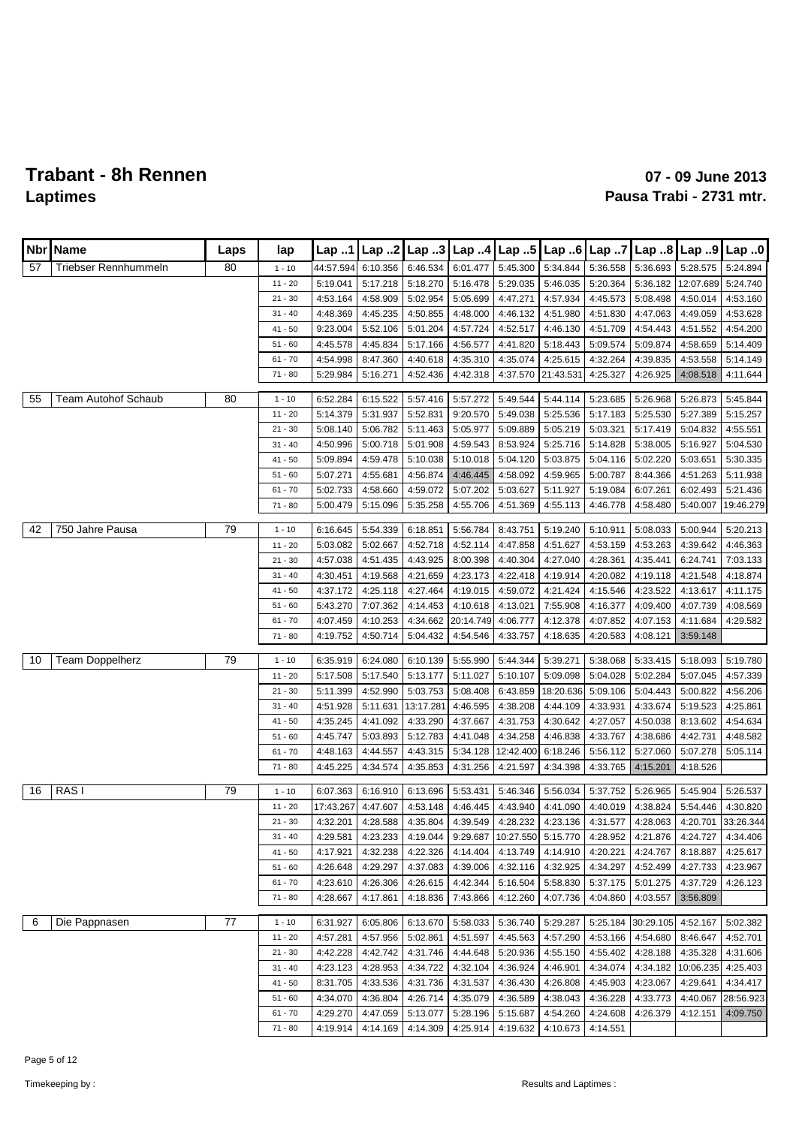| Nbr | <b>Name</b>                | Laps | lap       | Lap 1     | Lap 2    | Lap.3     | Lap.4     | Lap 5                           | Lap 6     | Lap 7    | Lap 8     | Lap 9     | Lap.0     |
|-----|----------------------------|------|-----------|-----------|----------|-----------|-----------|---------------------------------|-----------|----------|-----------|-----------|-----------|
| 57  | Triebser Rennhummeln       | 80   | $1 - 10$  | 44:57.594 | 6:10.356 | 6:46.534  | 6:01.477  | 5:45.300                        | 5:34.844  | 5:36.558 | 5:36.693  | 5:28.575  | 5:24.894  |
|     |                            |      | $11 - 20$ | 5:19.041  | 5:17.218 | 5:18.270  | 5:16.478  | 5:29.035                        | 5:46.035  | 5:20.364 | 5:36.182  | 12:07.689 | 5:24.740  |
|     |                            |      | $21 - 30$ | 4:53.164  | 4:58.909 | 5:02.954  | 5:05.699  | 4:47.271                        | 4:57.934  | 4:45.573 | 5:08.498  | 4:50.014  | 4:53.160  |
|     |                            |      | $31 - 40$ | 4:48.369  | 4:45.235 | 4:50.855  | 4:48.000  | 4:46.132                        | 4:51.980  | 4:51.830 | 4:47.063  | 4:49.059  | 4:53.628  |
|     |                            |      | $41 - 50$ | 9:23.004  | 5:52.106 | 5:01.204  | 4:57.724  | 4:52.517                        | 4:46.130  | 4:51.709 | 4:54.443  | 4:51.552  | 4:54.200  |
|     |                            |      | $51 - 60$ | 4:45.578  | 4:45.834 | 5:17.166  | 4:56.577  | 4:41.820                        | 5:18.443  | 5:09.574 | 5:09.874  | 4:58.659  | 5:14.409  |
|     |                            |      | $61 - 70$ | 4:54.998  | 8:47.360 | 4:40.618  | 4:35.310  | 4:35.074                        | 4:25.615  | 4:32.264 | 4:39.835  | 4:53.558  | 5:14.149  |
|     |                            |      | $71 - 80$ | 5:29.984  | 5:16.271 | 4:52.436  | 4:42.318  | 4:37.570                        | 21:43.531 | 4:25.327 | 4:26.925  | 4:08.518  | 4:11.644  |
| 55  | <b>Team Autohof Schaub</b> | 80   | $1 - 10$  | 6:52.284  | 6:15.522 | 5:57.416  | 5:57.272  | 5:49.544                        | 5:44.114  | 5:23.685 | 5:26.968  | 5:26.873  | 5:45.844  |
|     |                            |      | $11 - 20$ | 5:14.379  | 5:31.937 | 5:52.831  | 9:20.570  | 5:49.038                        | 5:25.536  | 5:17.183 | 5:25.530  | 5:27.389  | 5:15.257  |
|     |                            |      | $21 - 30$ | 5:08.140  | 5:06.782 | 5:11.463  | 5:05.977  | 5:09.889                        | 5:05.219  | 5:03.321 | 5:17.419  | 5:04.832  | 4:55.551  |
|     |                            |      | $31 - 40$ | 4:50.996  | 5:00.718 | 5:01.908  | 4:59.543  | 8:53.924                        | 5:25.716  | 5:14.828 | 5:38.005  | 5:16.927  | 5:04.530  |
|     |                            |      | $41 - 50$ | 5:09.894  | 4:59.478 | 5:10.038  | 5:10.018  | 5:04.120                        | 5:03.875  | 5:04.116 | 5:02.220  | 5:03.651  | 5:30.335  |
|     |                            |      | $51 - 60$ | 5:07.271  | 4:55.681 | 4:56.874  | 4:46.445  | 4:58.092                        | 4:59.965  | 5:00.787 | 8:44.366  | 4:51.263  | 5:11.938  |
|     |                            |      | $61 - 70$ | 5:02.733  | 4:58.660 | 4:59.072  | 5:07.202  | 5:03.627                        | 5:11.927  | 5:19.084 | 6:07.261  | 6:02.493  | 5:21.436  |
|     |                            |      | $71 - 80$ | 5:00.479  | 5:15.096 | 5:35.258  | 4:55.706  | 4:51.369                        | 4:55.113  | 4:46.778 | 4:58.480  | 5:40.007  | 19:46.279 |
|     |                            |      |           |           |          |           |           |                                 |           |          |           |           |           |
| 42  | 750 Jahre Pausa            | 79   | $1 - 10$  | 6:16.645  | 5:54.339 | 6:18.851  | 5:56.784  | 8:43.751                        | 5:19.240  | 5:10.911 | 5:08.033  | 5:00.944  | 5:20.213  |
|     |                            |      | $11 - 20$ | 5:03.082  | 5:02.667 | 4:52.718  | 4:52.114  | 4:47.858                        | 4:51.627  | 4:53.159 | 4:53.263  | 4:39.642  | 4:46.363  |
|     |                            |      | $21 - 30$ | 4:57.038  | 4:51.435 | 4:43.925  | 8:00.398  | 4:40.304                        | 4:27.040  | 4:28.361 | 4:35.441  | 6:24.741  | 7:03.133  |
|     |                            |      | $31 - 40$ | 4:30.451  | 4:19.568 | 4:21.659  | 4:23.173  | 4:22.418                        | 4:19.914  | 4:20.082 | 4:19.118  | 4:21.548  | 4:18.874  |
|     |                            |      | $41 - 50$ | 4:37.172  | 4:25.118 | 4:27.464  | 4:19.015  | 4:59.072                        | 4:21.424  | 4:15.546 | 4:23.522  | 4:13.617  | 4:11.175  |
|     |                            |      | $51 - 60$ | 5:43.270  | 7:07.362 | 4:14.453  | 4:10.618  | 4:13.021                        | 7:55.908  | 4:16.377 | 4:09.400  | 4:07.739  | 4:08.569  |
|     |                            |      | $61 - 70$ | 4:07.459  | 4:10.253 | 4:34.662  | 20:14.749 | 4:06.777                        | 4:12.378  | 4:07.852 | 4:07.153  | 4:11.684  | 4:29.582  |
|     |                            |      | $71 - 80$ | 4:19.752  | 4:50.714 | 5:04.432  | 4:54.546  | 4:33.757                        | 4:18.635  | 4:20.583 | 4:08.121  | 3:59.148  |           |
|     |                            |      |           |           |          |           |           |                                 |           |          |           |           |           |
| 10  | <b>Team Doppelherz</b>     | 79   | $1 - 10$  | 6:35.919  | 6:24.080 | 6:10.139  | 5:55.990  | 5:44.344                        | 5:39.271  | 5:38.068 | 5:33.415  | 5:18.093  | 5:19.780  |
|     |                            |      | $11 - 20$ | 5:17.508  | 5:17.540 | 5:13.177  | 5:11.027  | 5:10.107                        | 5:09.098  | 5:04.028 | 5:02.284  | 5:07.045  | 4:57.339  |
|     |                            |      | $21 - 30$ | 5:11.399  | 4:52.990 | 5:03.753  | 5:08.408  | 6:43.859                        | 18:20.636 | 5:09.106 | 5:04.443  | 5:00.822  | 4:56.206  |
|     |                            |      | $31 - 40$ | 4:51.928  | 5:11.631 | 13:17.281 | 4:46.595  | 4:38.208                        | 4:44.109  | 4:33.931 | 4:33.674  | 5:19.523  | 4:25.861  |
|     |                            |      | $41 - 50$ | 4:35.245  | 4:41.092 | 4:33.290  | 4:37.667  | 4:31.753                        | 4:30.642  | 4:27.057 | 4:50.038  | 8:13.602  | 4:54.634  |
|     |                            |      | $51 - 60$ | 4:45.747  | 5:03.893 | 5:12.783  | 4:41.048  | 4:34.258                        | 4:46.838  | 4:33.767 | 4:38.686  | 4:42.731  | 4:48.582  |
|     |                            |      | $61 - 70$ | 4:48.163  | 4:44.557 | 4:43.315  | 5:34.128  | 12:42.400                       | 6:18.246  | 5:56.112 | 5:27.060  | 5:07.278  | 5:05.114  |
|     |                            |      | $71 - 80$ | 4:45.225  | 4:34.574 | 4:35.853  | 4:31.256  | 4:21.597                        | 4:34.398  | 4:33.765 | 4:15.201  | 4:18.526  |           |
| 16  | RAS <sub>I</sub>           | 79   | $1 - 10$  | 6:07.363  | 6:16.910 | 6:13.696  | 5:53.431  | 5:46.346                        | 5:56.034  | 5:37.752 | 5:26.965  | 5:45.904  | 5:26.537  |
|     |                            |      | $11 - 20$ | 17:43.267 | 4:47.607 | 4:53.148  | 4:46.445  | 4:43.940                        | 4:41.090  | 4:40.019 | 4:38.824  | 5:54.446  | 4:30.820  |
|     |                            |      | $21 - 30$ | 4:32.201  | 4:28.588 | 4:35.804  | 4:39.549  | 4:28.232                        | 4:23.136  | 4:31.577 | 4:28.063  | 4:20.701  | 33:26.344 |
|     |                            |      | $31 - 40$ | 4:29.581  | 4:23.233 | 4:19.044  |           | 9:29.687   10:27.550   5:15.770 |           | 4:28.952 | 4:21.876  | 4:24.727  | 4:34.406  |
|     |                            |      | 41 - 50   | 4:17.921  | 4:32.238 | 4:22.326  | 4:14.404  | 4:13.749                        | 4:14.910  | 4:20.221 | 4:24.767  | 8:18.887  | 4:25.617  |
|     |                            |      | $51 - 60$ | 4:26.648  | 4:29.297 | 4:37.083  | 4:39.006  | 4:32.116                        | 4:32.925  | 4:34.297 | 4:52.499  | 4:27.733  | 4:23.967  |
|     |                            |      | $61 - 70$ | 4:23.610  | 4:26.306 | 4:26.615  | 4:42.344  | 5:16.504                        | 5:58.830  | 5:37.175 | 5:01.275  | 4:37.729  | 4:26.123  |
|     |                            |      | $71 - 80$ | 4:28.667  | 4:17.861 | 4:18.836  | 7:43.866  | 4:12.260                        | 4:07.736  | 4:04.860 | 4:03.557  | 3:56.809  |           |
|     |                            |      |           |           |          |           |           |                                 |           |          |           |           |           |
| 6   | Die Pappnasen              | 77   | $1 - 10$  | 6:31.927  | 6:05.806 | 6:13.670  | 5:58.033  | 5:36.740                        | 5:29.287  | 5:25.184 | 30:29.105 | 4:52.167  | 5:02.382  |
|     |                            |      | $11 - 20$ | 4:57.281  | 4:57.956 | 5:02.861  | 4:51.597  | 4:45.563                        | 4:57.290  | 4:53.166 | 4:54.680  | 8:46.647  | 4:52.701  |
|     |                            |      | $21 - 30$ | 4:42.228  | 4:42.742 | 4:31.746  | 4:44.648  | 5:20.936                        | 4:55.150  | 4:55.402 | 4:28.188  | 4:35.328  | 4:31.606  |
|     |                            |      | $31 - 40$ | 4:23.123  | 4:28.953 | 4:34.722  | 4:32.104  | 4:36.924                        | 4:46.901  | 4:34.074 | 4:34.182  | 10:06.235 | 4:25.403  |
|     |                            |      | $41 - 50$ | 8:31.705  | 4:33.536 | 4:31.736  | 4:31.537  | 4:36.430                        | 4:26.808  | 4:45.903 | 4:23.067  | 4:29.641  | 4:34.417  |
|     |                            |      | $51 - 60$ | 4:34.070  | 4:36.804 | 4:26.714  | 4:35.079  | 4:36.589                        | 4:38.043  | 4:36.228 | 4:33.773  | 4:40.067  | 28:56.923 |
|     |                            |      | $61 - 70$ | 4:29.270  | 4:47.059 | 5:13.077  | 5:28.196  | 5:15.687                        | 4:54.260  | 4:24.608 | 4:26.379  | 4:12.151  | 4:09.750  |
|     |                            |      | 71 - 80   | 4:19.914  | 4:14.169 | 4:14.309  | 4:25.914  | 4:19.632                        | 4:10.673  | 4:14.551 |           |           |           |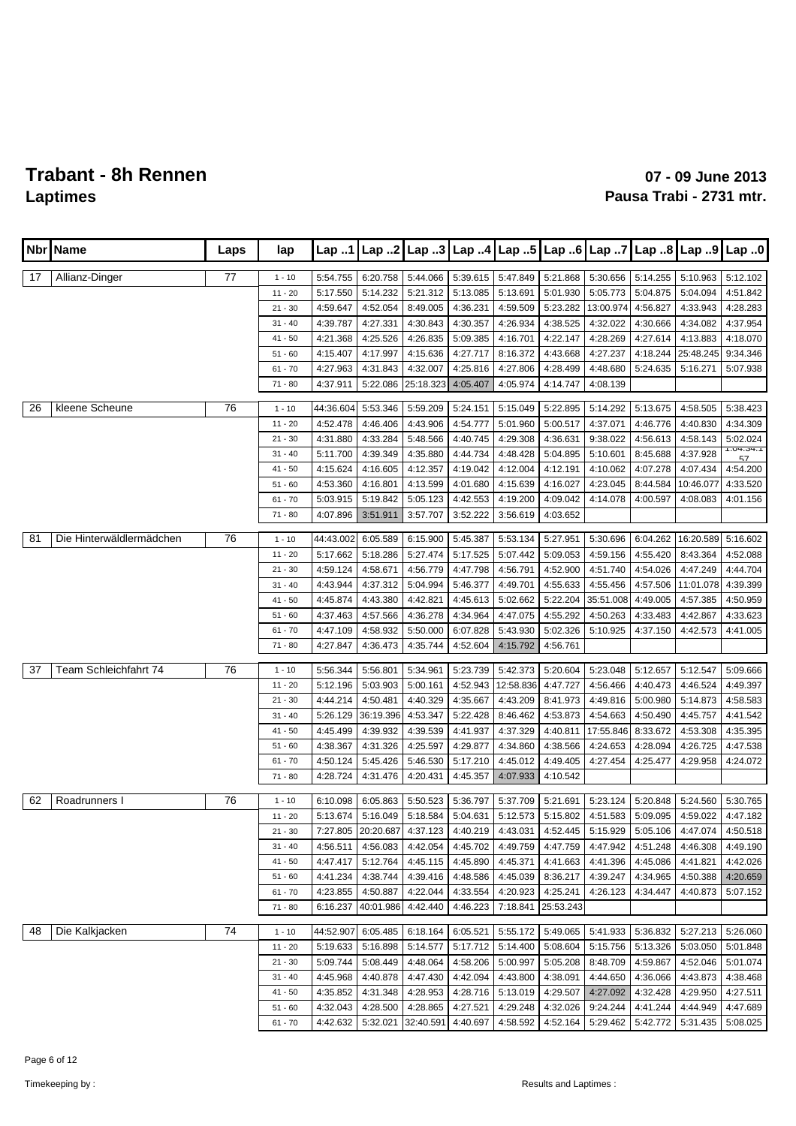| <b>Nbr</b> | Name                     | Laps | lap                   | Lap.1                |                      | Lap 2 Lap 3 Lap 4           |                      | Lap.5                |                      | Lap 6 $\lfloor$ Lap 7 |                      |                      | Lap 8   Lap 9   Lap 0 |
|------------|--------------------------|------|-----------------------|----------------------|----------------------|-----------------------------|----------------------|----------------------|----------------------|-----------------------|----------------------|----------------------|-----------------------|
|            |                          |      |                       |                      |                      |                             |                      |                      |                      |                       |                      |                      |                       |
| 17         | Allianz-Dinger           | 77   | $1 - 10$<br>$11 - 20$ | 5:54.755             | 6:20.758             | 5:44.066                    | 5:39.615             | 5:47.849<br>5:13.691 | 5:21.868             | 5:30.656              | 5:14.255             | 5:10.963             | 5:12.102              |
|            |                          |      | $21 - 30$             | 5:17.550<br>4:59.647 | 5:14.232<br>4:52.054 | 5:21.312<br>8:49.005        | 5:13.085<br>4:36.231 | 4:59.509             | 5:01.930<br>5:23.282 | 5:05.773<br>13:00.974 | 5:04.875<br>4:56.827 | 5:04.094<br>4:33.943 | 4:51.842<br>4:28.283  |
|            |                          |      | $31 - 40$             | 4:39.787             | 4:27.331             | 4:30.843                    | 4:30.357             | 4:26.934             | 4:38.525             | 4:32.022              | 4:30.666             | 4:34.082             | 4:37.954              |
|            |                          |      | $41 - 50$             | 4:21.368             | 4:25.526             | 4:26.835                    | 5:09.385             | 4:16.701             | 4:22.147             | 4:28.269              | 4:27.614             | 4:13.883             | 4:18.070              |
|            |                          |      | $51 - 60$             | 4:15.407             | 4:17.997             | 4:15.636                    | 4:27.717             | 8:16.372             | 4:43.668             | 4:27.237              | 4:18.244             | 25:48.245            | 9:34.346              |
|            |                          |      | $61 - 70$             | 4:27.963             | 4:31.843             | 4:32.007                    | 4:25.816             | 4:27.806             | 4:28.499             | 4:48.680              | 5:24.635             | 5:16.271             | 5:07.938              |
|            |                          |      | $71 - 80$             | 4:37.911             | 5:22.086             | 25:18.323                   | 4:05.407             | 4:05.974             | 4:14.747             | 4:08.139              |                      |                      |                       |
|            |                          |      |                       |                      |                      |                             |                      |                      |                      |                       |                      |                      |                       |
| 26         | kleene Scheune           | 76   | $1 - 10$              | 44:36.604            | 5:53.346             | 5:59.209                    | 5:24.151             | 5:15.049             | 5:22.895             | 5:14.292              | 5:13.675             | 4:58.505             | 5:38.423              |
|            |                          |      | $11 - 20$             | 4:52.478             | 4:46.406             | 4:43.906                    | 4:54.777             | 5:01.960             | 5:00.517             | 4:37.071              | 4:46.776             | 4:40.830             | 4:34.309              |
|            |                          |      | $21 - 30$             | 4:31.880             | 4:33.284             | 5:48.566                    | 4:40.745             | 4:29.308             | 4:36.631             | 9:38.022              | 4:56.613             | 4:58.143             | 5:02.024<br>1.04.04.1 |
|            |                          |      | $31 - 40$             | 5:11.700             | 4:39.349             | 4:35.880                    | 4:44.734             | 4:48.428             | 5:04.895             | 5:10.601              | 8:45.688             | 4:37.928             | 57                    |
|            |                          |      | $41 - 50$             | 4:15.624             | 4:16.605             | 4:12.357                    | 4:19.042             | 4:12.004             | 4:12.191             | 4:10.062              | 4:07.278             | 4:07.434             | 4:54.200              |
|            |                          |      | $51 - 60$             | 4:53.360             | 4:16.801             | 4:13.599                    | 4:01.680             | 4:15.639             | 4:16.027             | 4:23.045              | 8:44.584             | 10:46.077            | 4:33.520              |
|            |                          |      | $61 - 70$             | 5:03.915             | 5:19.842             | 5:05.123                    | 4:42.553             | 4:19.200             | 4:09.042             | 4:14.078              | 4:00.597             | 4:08.083             | 4:01.156              |
|            |                          |      | $71 - 80$             | 4:07.896             | 3:51.911             | 3:57.707                    | 3:52.222             | 3:56.619             | 4:03.652             |                       |                      |                      |                       |
| 81         | Die Hinterwäldlermädchen | 76   | $1 - 10$              | 44:43.002            | 6:05.589             | 6:15.900                    | 5:45.387             | 5:53.134             | 5:27.951             | 5:30.696              | 6:04.262             | 16:20.589            | 5:16.602              |
|            |                          |      | $11 - 20$             | 5:17.662             | 5:18.286             | 5:27.474                    | 5:17.525             | 5:07.442             | 5:09.053             | 4:59.156              | 4:55.420             | 8:43.364             | 4:52.088              |
|            |                          |      | $21 - 30$             | 4:59.124             | 4:58.671             | 4:56.779                    | 4:47.798             | 4:56.791             | 4:52.900             | 4:51.740              | 4:54.026             | 4:47.249             | 4:44.704              |
|            |                          |      | $31 - 40$             | 4:43.944             | 4:37.312             | 5:04.994                    | 5:46.377             | 4:49.701             | 4:55.633             | 4:55.456              | 4:57.506             | 11:01.078            | 4:39.399              |
|            |                          |      | $41 - 50$             | 4:45.874             | 4:43.380             | 4:42.821                    | 4:45.613             | 5:02.662             | 5:22.204             | 35:51.008             | 4:49.005             | 4:57.385             | 4:50.959              |
|            |                          |      | $51 - 60$             | 4:37.463             | 4:57.566             | 4:36.278                    | 4:34.964             | 4:47.075             | 4:55.292             | 4:50.263              | 4:33.483             | 4:42.867             | 4:33.623              |
|            |                          |      | $61 - 70$             | 4:47.109             | 4:58.932             | 5:50.000                    | 6:07.828             | 5:43.930             | 5:02.326             | 5:10.925              | 4:37.150             | 4:42.573             | 4:41.005              |
|            |                          |      | $71 - 80$             | 4:27.847             | 4:36.473             | 4:35.744                    | 4:52.604             | 4:15.792             | 4:56.761             |                       |                      |                      |                       |
| 37         | Team Schleichfahrt 74    | 76   | $1 - 10$              | 5:56.344             | 5:56.801             | 5:34.961                    | 5:23.739             | 5:42.373             | 5:20.604             | 5:23.048              | 5:12.657             | 5:12.547             | 5:09.666              |
|            |                          |      | $11 - 20$             | 5:12.196             | 5:03.903             | 5:00.161                    | 4:52.943             | 12:58.836            | 4:47.727             | 4:56.466              | 4:40.473             | 4:46.524             | 4:49.397              |
|            |                          |      | $21 - 30$             | 4:44.214             | 4:50.481             | 4:40.329                    | 4:35.667             | 4:43.209             | 8:41.973             | 4:49.816              | 5:00.980             | 5:14.873             | 4:58.583              |
|            |                          |      | $31 - 40$             | 5:26.129             | 36:19.396            | 4:53.347                    | 5:22.428             | 8:46.462             | 4:53.873             | 4:54.663              | 4:50.490             | 4:45.757             | 4:41.542              |
|            |                          |      | $41 - 50$             | 4:45.499             | 4:39.932             | 4:39.539                    | 4:41.937             | 4:37.329             | 4:40.811             | 17:55.846             | 8:33.672             | 4:53.308             | 4:35.395              |
|            |                          |      | $51 - 60$             | 4:38.367             | 4:31.326             | 4:25.597                    | 4:29.877             | 4:34.860             | 4:38.566             | 4:24.653              | 4:28.094             | 4:26.725             | 4:47.538              |
|            |                          |      | $61 - 70$             | 4:50.124             | 5:45.426             | 5:46.530                    | 5:17.210             | 4:45.012             | 4:49.405             | 4:27.454              | 4:25.477             | 4:29.958             | 4:24.072              |
|            |                          |      | $71 - 80$             | 4:28.724             | 4:31.476             | 4:20.431                    | 4:45.357             | 4:07.933             | 4:10.542             |                       |                      |                      |                       |
| 62         | Roadrunners I            | 76   | $1 - 10$              | 6:10.098             | 6:05.863             | 5:50.523                    | 5:36.797             | 5:37.709             | 5:21.691             | 5:23.124              | 5:20.848             | 5:24.560             | 5:30.765              |
|            |                          |      | $11 - 20$             | 5:13.674             | 5:16.049             | 5:18.584                    | 5:04.631             | 5:12.573             | 5:15.802             | 4:51.583              | 5:09.095             | 4:59.022             | 4:47.182              |
|            |                          |      | $21 - 30$             |                      |                      | 7:27.805 20:20.687 4:37.123 |                      | 4:40.219 4:43.031    | 4:52.445             | 5:15.929              | 5:05.106             | 4:47.074             | 4:50.518              |
|            |                          |      | $31 - 40$             | 4:56.511             | 4:56.083             | 4:42.054                    | 4:45.702             | 4:49.759             | 4:47.759             | 4:47.942              | 4:51.248             | 4:46.308             | 4:49.190              |
|            |                          |      | 41 - 50               | 4:47.417             | 5:12.764             | 4:45.115                    | 4:45.890             | 4:45.371             | 4:41.663             | 4:41.396              | 4:45.086             | 4:41.821             | 4:42.026              |
|            |                          |      | $51 - 60$             | 4:41.234             | 4:38.744             | 4:39.416                    | 4:48.586             | 4:45.039             | 8:36.217             | 4:39.247              | 4:34.965             | 4:50.388             | 4:20.659              |
|            |                          |      | $61 - 70$             | 4:23.855             | 4:50.887             | 4:22.044                    | 4:33.554             | 4:20.923             | 4:25.241             | 4:26.123              | 4:34.447             | 4:40.873             | 5:07.152              |
|            |                          |      | $71 - 80$             | 6:16.237             | 40:01.986            | 4:42.440                    | 4:46.223             | 7:18.841             | 25:53.243            |                       |                      |                      |                       |
|            |                          |      |                       |                      |                      |                             |                      |                      |                      |                       |                      |                      |                       |
| 48         | Die Kalkjacken           | 74   | $1 - 10$              | 44:52.907            | 6:05.485             | 6:18.164                    | 6:05.521             | 5:55.172             | 5:49.065             | 5:41.933              | 5:36.832             | 5:27.213             | 5:26.060              |
|            |                          |      | $11 - 20$             | 5:19.633             | 5:16.898             | 5:14.577                    | 5:17.712             | 5:14.400             | 5:08.604             | 5:15.756              | 5:13.326             | 5:03.050             | 5:01.848              |
|            |                          |      | $21 - 30$             | 5:09.744             | 5:08.449             | 4:48.064                    | 4:58.206             | 5:00.997             | 5:05.208             | 8:48.709              | 4:59.867             | 4:52.046             | 5:01.074              |
|            |                          |      | $31 - 40$             | 4:45.968             | 4:40.878             | 4:47.430                    | 4:42.094             | 4:43.800             | 4:38.091             | 4:44.650              | 4:36.066             | 4:43.873             | 4:38.468              |
|            |                          |      | 41 - 50               | 4:35.852             | 4:31.348             | 4:28.953                    | 4:28.716             | 5:13.019             | 4:29.507             | 4:27.092              | 4:32.428             | 4:29.950             | 4:27.511              |
|            |                          |      | $51 - 60$             | 4:32.043             | 4:28.500             | 4:28.865                    | 4:27.521             | 4:29.248             | 4:32.026             | 9:24.244              | 4:41.244             | 4:44.949             | 4:47.689              |
|            |                          |      | $61 - 70$             | 4:42.632             | 5:32.021             | 32:40.591                   | 4:40.697             | 4:58.592             | 4:52.164             | 5:29.462              | 5:42.772             | 5:31.435             | 5:08.025              |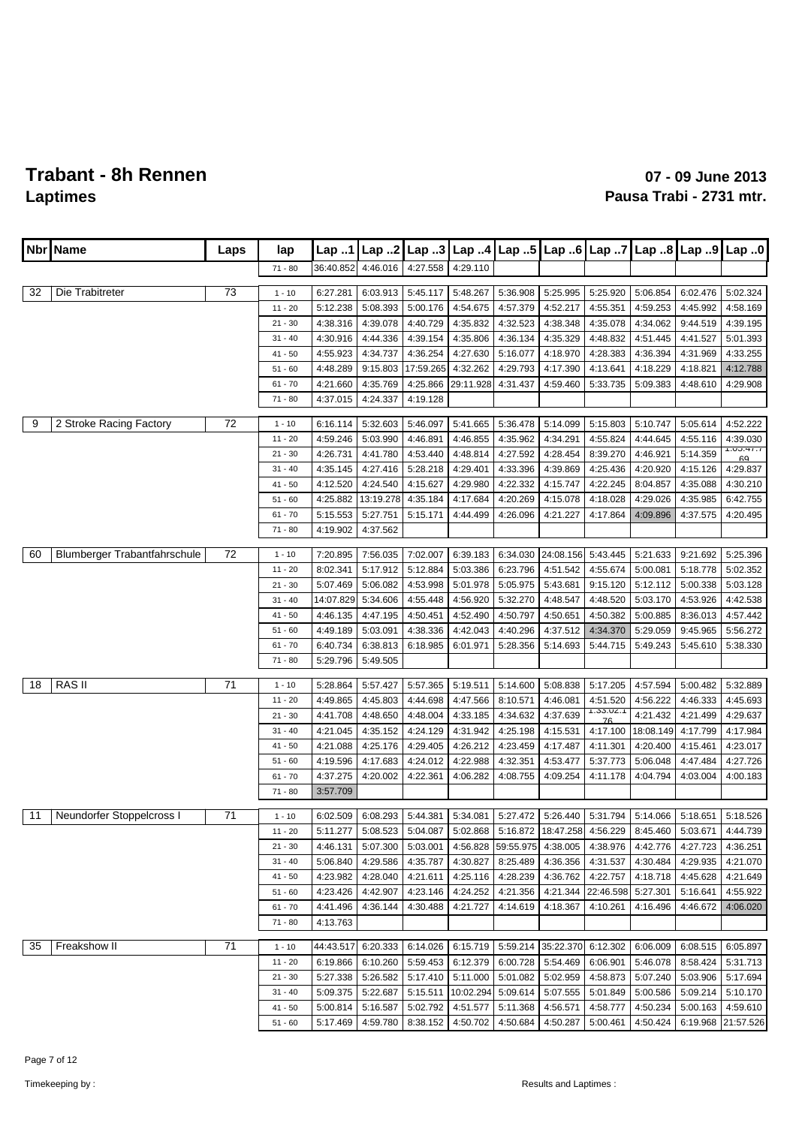| $\lfloor$ Lap $5$ $\rfloor$<br>Name<br>Lap 2<br>Lap 3 $\lfloor$ Lap 4<br>Lap 6 Lap 7<br>Lap $8$ Lap $9$<br>Nbr<br>Lap.1<br>Laps<br>lap<br>36:40.852<br>4:46.016<br>4:27.558<br>4:29.110<br>$71 - 80$<br>73<br>Die Trabitreter<br>5:36.908<br>32<br>6:27.281<br>6:03.913<br>5:45.117<br>5:48.267<br>5:25.995<br>5:25.920<br>5:06.854<br>6:02.476<br>$1 - 10$ | Lap 0<br>5:02.324 |
|-------------------------------------------------------------------------------------------------------------------------------------------------------------------------------------------------------------------------------------------------------------------------------------------------------------------------------------------------------------|-------------------|
|                                                                                                                                                                                                                                                                                                                                                             |                   |
|                                                                                                                                                                                                                                                                                                                                                             |                   |
|                                                                                                                                                                                                                                                                                                                                                             |                   |
| 5:12.238<br>5:08.393<br>5:00.176<br>4:54.675<br>4:57.379<br>4:52.217<br>4:55.351<br>4:59.253<br>4:45.992<br>$11 - 20$                                                                                                                                                                                                                                       | 4:58.169          |
| 4:39.078<br>4:35.832<br>$21 - 30$<br>4:38.316<br>4:40.729<br>4:32.523<br>4:38.348<br>4:35.078<br>4:34.062<br>9:44.519                                                                                                                                                                                                                                       | 4:39.195          |
| 4:30.916<br>4:44.336<br>4:39.154<br>4:35.806<br>4:36.134<br>4:35.329<br>4:48.832<br>4:51.445<br>4:41.527<br>$31 - 40$                                                                                                                                                                                                                                       | 5:01.393          |
| 4:55.923<br>4:34.737<br>4:36.254<br>4:27.630<br>5:16.077<br>4:18.970<br>4:28.383<br>4:36.394<br>4:31.969<br>$41 - 50$                                                                                                                                                                                                                                       | 4:33.255          |
| 17:59.265<br>4:32.262<br>4:29.793<br>4:13.641<br>4:18.229<br>4:18.821<br>$51 - 60$<br>4:48.289<br>9:15.803<br>4:17.390                                                                                                                                                                                                                                      | 4:12.788          |
| 4:35.769<br>29:11.928<br>4:31.437<br>5:09.383<br>4:48.610<br>$61 - 70$<br>4:21.660<br>4:25.866<br>4:59.460<br>5:33.735                                                                                                                                                                                                                                      | 4:29.908          |
| 4:24.337<br>4:19.128<br>$71 - 80$<br>4:37.015                                                                                                                                                                                                                                                                                                               |                   |
| 2 Stroke Racing Factory<br>72<br>9<br>5:32.603<br>5:41.665<br>5:36.478<br>5:14.099<br>5:10.747<br>5:05.614<br>$1 - 10$<br>6:16.114<br>5:46.097<br>5:15.803                                                                                                                                                                                                  | 4:52.222          |
| 5:03.990<br>4:46.855<br>4:35.962<br>$11 - 20$<br>4:59.246<br>4:46.891<br>4:34.291<br>4:55.824<br>4:44.645<br>4:55.116                                                                                                                                                                                                                                       | 4:39.030          |
| 4:26.731<br>4:41.780<br>4:53.440<br>4:48.814<br>4:27.592<br>4:46.921<br>5:14.359<br>$21 - 30$<br>4:28.454<br>8:39.270                                                                                                                                                                                                                                       | 1.00.41.1<br>60   |
| 4:35.145<br>4:27.416<br>5:28.218<br>4:29.401<br>4:33.396<br>4:25.436<br>4:20.920<br>4:15.126<br>$31 - 40$<br>4:39.869                                                                                                                                                                                                                                       | 4:29.837          |
| 4:12.520<br>4:24.540<br>4:29.980<br>4:22.332<br>4:15.747<br>4:22.245<br>8:04.857<br>4:35.088<br>$41 - 50$<br>4:15.627                                                                                                                                                                                                                                       | 4:30.210          |
| 4:25.882<br>13:19.278<br>4:35.184<br>4:17.684<br>4:20.269<br>4:15.078<br>4:18.028<br>4:29.026<br>4:35.985<br>$51 - 60$                                                                                                                                                                                                                                      | 6:42.755          |
| $61 - 70$<br>5:15.553<br>5:27.751<br>5:15.171<br>4:44.499<br>4:26.096<br>4:21.227<br>4:17.864<br>4:09.896<br>4:37.575                                                                                                                                                                                                                                       | 4:20.495          |
| $71 - 80$<br>4:19.902<br>4:37.562                                                                                                                                                                                                                                                                                                                           |                   |
| 72<br>60<br>Blumberger Trabantfahrschule<br>6:34.030<br>24:08.156<br>$1 - 10$<br>7:20.895<br>7:56.035<br>7:02.007<br>6:39.183<br>5:43.445<br>5:21.633<br>9:21.692                                                                                                                                                                                           | 5:25.396          |
| 8:02.341<br>5:17.912<br>6:23.796<br>5:12.884<br>5:03.386<br>4:51.542<br>4:55.674<br>5:00.081<br>5:18.778<br>$11 - 20$                                                                                                                                                                                                                                       | 5:02.352          |
| 5:07.469<br>5:06.082<br>4:53.998<br>5:01.978<br>5:05.975<br>5:43.681<br>9:15.120<br>5:12.112<br>5:00.338<br>$21 - 30$                                                                                                                                                                                                                                       | 5:03.128          |
| 5:32.270<br>$31 - 40$<br>14:07.829<br>5:34.606<br>4:55.448<br>4:56.920<br>4:48.547<br>4:48.520<br>5:03.170<br>4:53.926                                                                                                                                                                                                                                      | 4:42.538          |
| 4:50.451<br>4:52.490<br>4:50.797<br>4:50.382<br>$41 - 50$<br>4:46.135<br>4:47.195<br>4:50.651<br>5:00.885<br>8:36.013                                                                                                                                                                                                                                       | 4:57.442          |
| 5:03.091<br>4:38.336<br>4:42.043<br>4:40.296<br>4:37.512<br>4:34.370<br>5:29.059<br>9:45.965<br>$51 - 60$<br>4:49.189                                                                                                                                                                                                                                       | 5:56.272          |
| 6:38.813<br>6:01.971<br>5:28.356<br>5:14.693<br>5:44.715<br>5:49.243<br>5:45.610<br>6:40.734<br>6:18.985<br>$61 - 70$                                                                                                                                                                                                                                       | 5:38.330          |
| 5:29.796<br>5:49.505<br>$71 - 80$                                                                                                                                                                                                                                                                                                                           |                   |
|                                                                                                                                                                                                                                                                                                                                                             |                   |
| <b>RASII</b><br>71<br>18<br>5:14.600<br>5:28.864<br>5:57.427<br>5:57.365<br>5:19.511<br>5:08.838<br>5:17.205<br>4:57.594<br>5:00.482<br>$1 - 10$                                                                                                                                                                                                            | 5:32.889          |
| 4:49.865<br>4:45.803<br>4:47.566<br>8:10.571<br>4:46.081<br>4:51.520<br>4:56.222<br>4:46.333<br>$11 - 20$<br>4:44.698<br>1.99.02.1                                                                                                                                                                                                                          | 4:45.693          |
| 4:41.708<br>4:48.650<br>4:48.004<br>4:33.185<br>4:34.632<br>4:37.639<br>4:21.432<br>4:21.499<br>$21 - 30$<br>76                                                                                                                                                                                                                                             | 4:29.637          |
| 4:21.045<br>4:35.152<br>4:24.129<br>4:31.942<br>4:25.198<br>4:15.531<br>4:17.100<br>18:08.149<br>4:17.799<br>$31 - 40$                                                                                                                                                                                                                                      | 4:17.984          |
| 4:26.212<br>4:23.459<br>4:21.088<br>4:25.176<br>4:29.405<br>4:17.487<br>4:11.301<br>4:20.400<br>4:15.461<br>$41 - 50$                                                                                                                                                                                                                                       | 4:23.017          |
| 4:17.683<br>4:24.012<br>4:22.988<br>4:32.351<br>4:53.477<br>5:37.773<br>5:06.048<br>4:47.484<br>$51 - 60$<br>4:19.596                                                                                                                                                                                                                                       | 4:27.726          |
| 4:37.275<br>4:20.002<br>4:22.361<br>4:06.282<br>4:08.755<br>4:09.254<br>4:11.178<br>4:04.794<br>4:03.004<br>$61 - 70$                                                                                                                                                                                                                                       | 4:00.183          |
| $71 - 80$<br>3:57.709                                                                                                                                                                                                                                                                                                                                       |                   |
| 71<br>11<br>Neundorfer Stoppelcross I<br>6:08.293<br>5:44.381<br>5:34.081<br>5:27.472<br>5:26.440<br>5:31.794<br>5:14.066<br>5:18.651<br>$1 - 10$<br>6:02.509                                                                                                                                                                                               | 5:18.526          |
| 8:45.460<br>5:11.277<br>5:08.523 5:04.087<br>5:02.868 5:16.872 18:47.258 4:56.229<br>5:03.671<br>$11 - 20$                                                                                                                                                                                                                                                  | 4:44.739          |
| 4:56.828 59:55.975<br>$21 - 30$<br>4:46.131<br>5:07.300<br>5:03.001<br>4:38.005<br>4:38.976<br>4:42.776<br>4:27.723                                                                                                                                                                                                                                         | 4:36.251          |
| 5:06.840<br>4:29.586<br>4:30.827<br>8:25.489<br>4:30.484<br>4:29.935<br>$31 - 40$<br>4:35.787<br>4:36.356<br>4:31.537                                                                                                                                                                                                                                       | 4:21.070          |
| 4:23.982<br>4:28.040<br>4:25.116<br>4:28.239<br>4:36.762<br>4:45.628<br>$41 - 50$<br>4:21.611<br>4:22.757<br>4:18.718                                                                                                                                                                                                                                       | 4:21.649          |
| 4:23.426<br>4:42.907<br>4:23.146<br>4:24.252<br>4:21.356<br>4:21.344<br>22:46.598<br>5:27.301<br>5:16.641<br>$51 - 60$                                                                                                                                                                                                                                      | 4:55.922          |
| 4:41.496<br>4:36.144<br>4:30.488<br>4:21.727<br>4:14.619<br>4:18.367<br>4:10.261<br>4:16.496<br>4:46.672<br>$61 - 70$                                                                                                                                                                                                                                       | 4:06.020          |
| $71 - 80$<br>4:13.763                                                                                                                                                                                                                                                                                                                                       |                   |
| 35<br>Freakshow II<br>71<br>6:14.026   6:15.719   5:59.214   35:22.370   6:12.302<br>$1 - 10$<br>44:43.517<br>6:20.333<br>6:06.009<br>6:08.515                                                                                                                                                                                                              | 6:05.897          |
| $11 - 20$<br>6:19.866<br>6:10.260<br>5:59.453<br>6:12.379<br>6:00.728<br>5:54.469<br>6:06.901<br>5:46.078<br>8:58.424                                                                                                                                                                                                                                       | 5:31.713          |
| $21 - 30$<br>5:27.338<br>5:26.582<br>5:17.410<br>5:11.000<br>5:01.082<br>5:02.959<br>4:58.873<br>5:07.240<br>5:03.906                                                                                                                                                                                                                                       | 5:17.694          |
| 5:22.687<br>10:02.294 5:09.614<br>5:01.849<br>5:09.214<br>$31 - 40$<br>5:09.375<br>5:15.511<br>5:07.555<br>5:00.586                                                                                                                                                                                                                                         | 5:10.170          |
| 5:00.814<br>5:16.587<br>5:02.792<br>4:51.577<br>5:11.368<br>4:56.571<br>4:58.777<br>4:50.234<br>5:00.163<br>$41 - 50$                                                                                                                                                                                                                                       | 4:59.610          |
| 5:17.469<br>4:59.780<br>8:38.152<br>4:50.702   4:50.684<br>4:50.287<br>5:00.461<br>4:50.424<br>6:19.968<br>$51 - 60$                                                                                                                                                                                                                                        | 21:57.526         |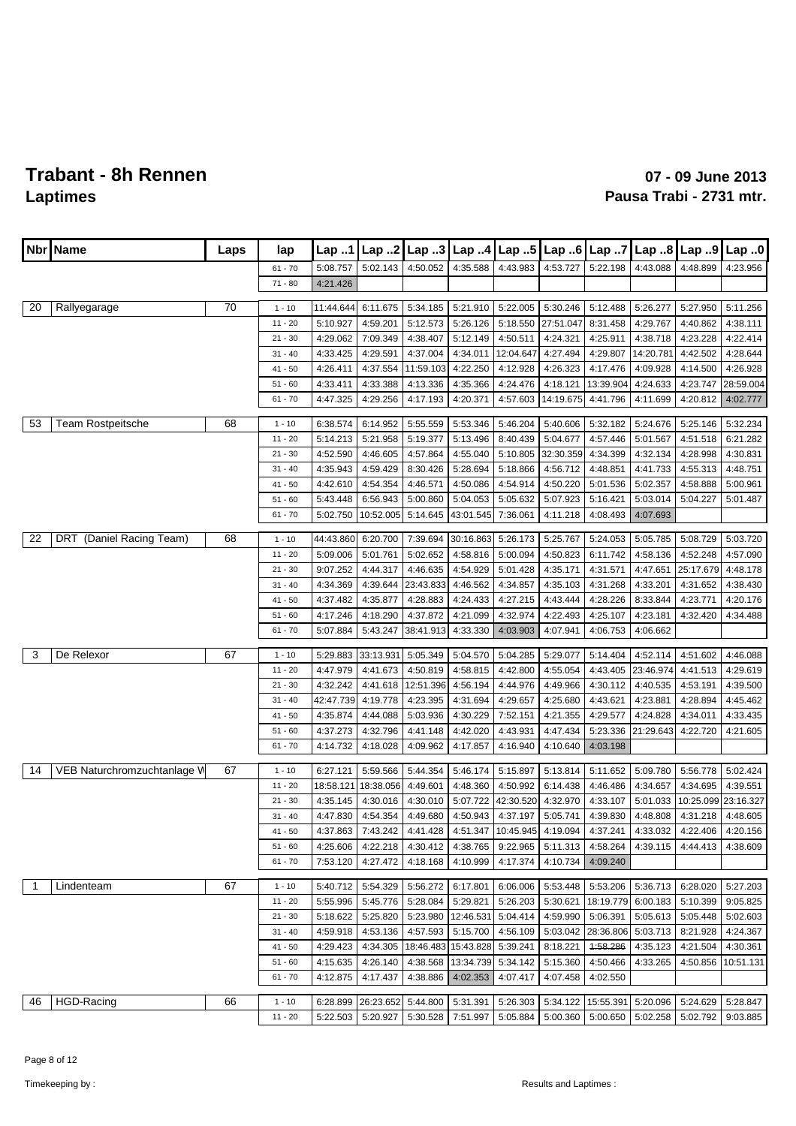|                | Nbr   Name                  | Laps | lap       | Lap $.1$  |                   | Lap 2 $\lfloor$ Lap 3 $\lfloor$ |                              | Lap 4 Lap 5                                                    |                   | Lap 6 Lap 7 |                                     | Lap $.8$ Lap $.9$   | Lap.0     |
|----------------|-----------------------------|------|-----------|-----------|-------------------|---------------------------------|------------------------------|----------------------------------------------------------------|-------------------|-------------|-------------------------------------|---------------------|-----------|
|                |                             |      | $61 - 70$ | 5:08.757  | 5:02.143          | 4:50.052                        | 4:35.588                     | 4:43.983                                                       | 4:53.727          | 5:22.198    | 4:43.088                            | 4:48.899            | 4:23.956  |
|                |                             |      | $71 - 80$ | 4:21.426  |                   |                                 |                              |                                                                |                   |             |                                     |                     |           |
|                |                             |      |           |           |                   |                                 |                              |                                                                |                   |             |                                     |                     |           |
| 20             | Rallyegarage                | 70   | $1 - 10$  | 11:44.644 | 6:11.675          | 5:34.185                        | 5:21.910                     | 5:22.005                                                       | 5:30.246          | 5:12.488    | 5:26.277                            | 5:27.950            | 5:11.256  |
|                |                             |      | $11 - 20$ | 5:10.927  | 4:59.201          | 5:12.573                        | 5:26.126                     | 5:18.550                                                       | 27:51.047         | 8:31.458    | 4:29.767                            | 4:40.862            | 4:38.111  |
|                |                             |      | $21 - 30$ | 4:29.062  | 7:09.349          | 4:38.407                        | 5:12.149                     | 4:50.511                                                       | 4:24.321          | 4:25.911    | 4:38.718                            | 4:23.228            | 4:22.414  |
|                |                             |      | $31 - 40$ | 4:33.425  | 4:29.591          | 4:37.004                        | 4:34.011                     | 12:04.647                                                      | 4:27.494          | 4:29.807    | 14:20.781                           | 4:42.502            | 4:28.644  |
|                |                             |      | $41 - 50$ | 4:26.411  | 4:37.554          | 11:59.103                       | 4:22.250                     | 4:12.928                                                       | 4:26.323          | 4:17.476    | 4:09.928                            | 4:14.500            | 4:26.928  |
|                |                             |      | $51 - 60$ | 4:33.411  | 4:33.388          | 4:13.336                        | 4:35.366                     | 4:24.476                                                       | 4:18.121          | 13:39.904   | 4:24.633                            | 4:23.747            | 28:59.004 |
|                |                             |      | $61 - 70$ | 4:47.325  | 4:29.256          | 4:17.193                        | 4:20.371                     | 4:57.603                                                       | 14:19.675         | 4:41.796    | 4:11.699                            | 4:20.812            | 4:02.777  |
| 53             | <b>Team Rostpeitsche</b>    | 68   | $1 - 10$  | 6:38.574  | 6:14.952          | 5:55.559                        | 5:53.346                     | 5:46.204                                                       | 5:40.606          | 5:32.182    | 5:24.676                            | 5:25.146            | 5:32.234  |
|                |                             |      | $11 - 20$ | 5:14.213  | 5:21.958          | 5:19.377                        | 5:13.496                     | 8:40.439                                                       | 5:04.677          | 4:57.446    | 5:01.567                            | 4:51.518            | 6:21.282  |
|                |                             |      | $21 - 30$ |           |                   |                                 |                              |                                                                |                   |             |                                     |                     |           |
|                |                             |      |           | 4:52.590  | 4:46.605          | 4:57.864                        | 4:55.040                     | 5:10.805                                                       | 32:30.359         | 4:34.399    | 4:32.134                            | 4:28.998            | 4:30.831  |
|                |                             |      | $31 - 40$ | 4:35.943  | 4:59.429          | 8:30.426                        | 5:28.694                     | 5:18.866                                                       | 4:56.712          | 4:48.851    | 4:41.733                            | 4:55.313            | 4:48.751  |
|                |                             |      | $41 - 50$ | 4:42.610  | 4:54.354          | 4:46.571                        | 4:50.086                     | 4:54.914                                                       | 4:50.220          | 5:01.536    | 5:02.357                            | 4:58.888            | 5:00.961  |
|                |                             |      | $51 - 60$ | 5:43.448  | 6:56.943          | 5:00.860                        | 5:04.053                     | 5:05.632                                                       | 5:07.923          | 5:16.421    | 5:03.014                            | 5:04.227            | 5:01.487  |
|                |                             |      | $61 - 70$ | 5:02.750  | 10:52.005         | 5:14.645                        | 43:01.545                    | 7:36.061                                                       | 4:11.218          | 4:08.493    | 4:07.693                            |                     |           |
| 22             | DRT (Daniel Racing Team)    | 68   | $1 - 10$  | 44:43.860 | 6:20.700          | 7:39.694                        | 30:16.863                    | 5:26.173                                                       | 5:25.767          | 5:24.053    | 5:05.785                            | 5:08.729            | 5:03.720  |
|                |                             |      | $11 - 20$ | 5:09.006  | 5:01.761          | 5:02.652                        | 4:58.816                     | 5:00.094                                                       | 4:50.823          | 6:11.742    | 4:58.136                            | 4:52.248            | 4:57.090  |
|                |                             |      | $21 - 30$ | 9:07.252  | 4:44.317          | 4:46.635                        | 4:54.929                     | 5:01.428                                                       | 4:35.171          | 4:31.571    | 4:47.651                            | 25:17.679           | 4:48.178  |
|                |                             |      | $31 - 40$ | 4:34.369  | 4:39.644          | 23:43.833                       | 4:46.562                     | 4:34.857                                                       | 4:35.103          | 4:31.268    | 4:33.201                            | 4:31.652            | 4:38.430  |
|                |                             |      | $41 - 50$ | 4:37.482  | 4:35.877          | 4:28.883                        | 4:24.433                     | 4:27.215                                                       | 4:43.444          | 4:28.226    | 8:33.844                            | 4:23.771            | 4:20.176  |
|                |                             |      | $51 - 60$ | 4:17.246  | 4:18.290          | 4:37.872                        | 4:21.099                     | 4:32.974                                                       | 4:22.493          | 4:25.107    | 4:23.181                            | 4:32.420            | 4:34.488  |
|                |                             |      | $61 - 70$ |           |                   |                                 |                              |                                                                |                   |             |                                     |                     |           |
|                |                             |      |           | 5:07.884  | 5:43.247          | 38:41.913                       | 4:33.330                     | 4:03.903                                                       | 4:07.941          | 4:06.753    | 4:06.662                            |                     |           |
| 3              | De Relexor                  | 67   | $1 - 10$  | 5:29.883  | 33:13.931         | 5:05.349                        | 5:04.570                     | 5:04.285                                                       | 5:29.077          | 5:14.404    | 4:52.114                            | 4:51.602            | 4:46.088  |
|                |                             |      | $11 - 20$ | 4:47.979  | 4:41.673          | 4:50.819                        | 4:58.815                     | 4:42.800                                                       | 4:55.054          | 4:43.405    | 23:46.974                           | 4:41.513            | 4:29.619  |
|                |                             |      | $21 - 30$ | 4:32.242  | 4:41.618          | 12:51.396                       | 4:56.194                     | 4:44.976                                                       | 4:49.966          | 4:30.112    | 4:40.535                            | 4:53.191            | 4:39.500  |
|                |                             |      | $31 - 40$ | 42:47.739 | 4:19.778          | 4:23.395                        | 4:31.694                     | 4:29.657                                                       | 4:25.680          | 4:43.621    | 4:23.881                            | 4:28.894            | 4:45.462  |
|                |                             |      | $41 - 50$ | 4:35.874  | 4:44.088          | 5:03.936                        | 4:30.229                     | 7:52.151                                                       | 4:21.355          | 4:29.577    | 4:24.828                            | 4:34.011            | 4:33.435  |
|                |                             |      | $51 - 60$ | 4:37.273  | 4:32.796          | 4:41.148                        | 4:42.020                     | 4:43.931                                                       | 4:47.434          | 5:23.336    | 21:29.643                           | 4:22.720            | 4:21.605  |
|                |                             |      | $61 - 70$ | 4:14.732  | 4:18.028          | 4:09.962                        | 4:17.857                     | 4:16.940                                                       | 4:10.640          | 4:03.198    |                                     |                     |           |
|                |                             |      |           |           |                   |                                 |                              |                                                                |                   |             |                                     |                     |           |
| 14             | VEB Naturchromzuchtanlage V | 67   | $1 - 10$  | 6:27.121  | 5:59.566          | 5:44.354                        | 5:46.174                     | 5:15.897                                                       | 5:13.814          | 5:11.652    | 5:09.780                            | 5:56.778            | 5:02.424  |
|                |                             |      | $11 - 20$ | 18:58.121 | 18:38.056         | 4:49.601                        | 4:48.360                     | 4:50.992                                                       | 6:14.438          | 4:46.486    | 4:34.657                            | 4:34.695            | 4:39.551  |
|                |                             |      | $21 - 30$ | 4:35.145  | 4:30.016          | 4:30.010                        | 5:07.722                     | 42:30.520                                                      | 4:32.970          | 4:33.107    | 5:01.033                            | 10:25.099 23:16.327 |           |
|                |                             |      | $31 - 40$ | 4:47.830  | 4:54.354          | 4:49.680                        |                              | 4:50.943 4:37.197                                              | 5:05.741          | 4:39.830    | 4:48.808                            | 4:31.218            | 4:48.605  |
|                |                             |      | $41 - 50$ |           | 4:37.863 7:43.242 |                                 |                              | 4:41.428 4:51.347 10:45.945                                    | 4:19.094          |             | 4:37.241 4:33.032 4:22.406 4:20.156 |                     |           |
|                |                             |      | $51 - 60$ | 4:25.606  | 4:22.218          |                                 |                              | 4:30.412   4:38.765   9:22.965                                 | 5:11.313          | 4:58.264    | 4:39.115                            | 4:44.413            | 4:38.609  |
|                |                             |      | $61 - 70$ | 7:53.120  | 4:27.472          | 4:18.168                        | 4:10.999                     | 4:17.374                                                       | 4:10.734          | 4:09.240    |                                     |                     |           |
|                |                             |      |           |           |                   |                                 |                              |                                                                |                   |             |                                     |                     |           |
| $\overline{1}$ | Lindenteam                  | 67   | $1 - 10$  | 5:40.712  | 5:54.329          | 5:56.272                        | 6:17.801                     |                                                                | 6:06.006 5:53.448 |             | 5:53.206   5:36.713                 | 6:28.020            | 5:27.203  |
|                |                             |      | $11 - 20$ | 5:55.996  | 5:45.776          | 5:28.084                        | 5:29.821                     | 5:26.203                                                       | 5:30.621          | 18:19.779   | 6:00.183                            | 5:10.399            | 9:05.825  |
|                |                             |      | $21 - 30$ | 5:18.622  | 5:25.820          |                                 |                              | 5:23.980   12:46.531   5:04.414                                | 4:59.990          | 5:06.391    | 5:05.613                            | 5:05.448            | 5:02.603  |
|                |                             |      | $31 - 40$ | 4:59.918  | 4:53.136          | 4:57.593                        | 5:15.700                     | 4:56.109                                                       | 5:03.042          | 28:36.806   | 5:03.713                            | 8:21.928            | 4:24.367  |
|                |                             |      | $41 - 50$ | 4:29.423  | 4:34.305          |                                 | 18:46.483 15:43.828 5:39.241 |                                                                | 8:18.221          | 1:58.286    | 4:35.123                            | 4:21.504            | 4:30.361  |
|                |                             |      | $51 - 60$ | 4:15.635  | 4:26.140          | 4:38.568                        | 13:34.739 5:34.142           |                                                                | 5:15.360          | 4:50.466    | 4:33.265                            | 4:50.856            | 10:51.131 |
|                |                             |      | $61 - 70$ | 4:12.875  | 4:17.437          | 4:38.886                        | 4:02.353                     | 4:07.417                                                       | 4:07.458          | 4:02.550    |                                     |                     |           |
|                |                             |      |           |           |                   |                                 |                              |                                                                |                   |             |                                     |                     |           |
| 46             | <b>HGD-Racing</b>           | 66   | $1 - 10$  | 6:28.899  | 26:23.652         | 5:44.800                        | 5:31.391                     |                                                                | 5:26.303 5:34.122 |             | 15:55.391 5:20.096 5:24.629         |                     | 5:28.847  |
|                |                             |      | $11 - 20$ |           | 5:22.503 5:20.927 |                                 |                              | 5:30.528 7:51.997 5:05.884 5:00.360 5:00.650 5:02.258 5:02.792 |                   |             |                                     |                     | 9:03.885  |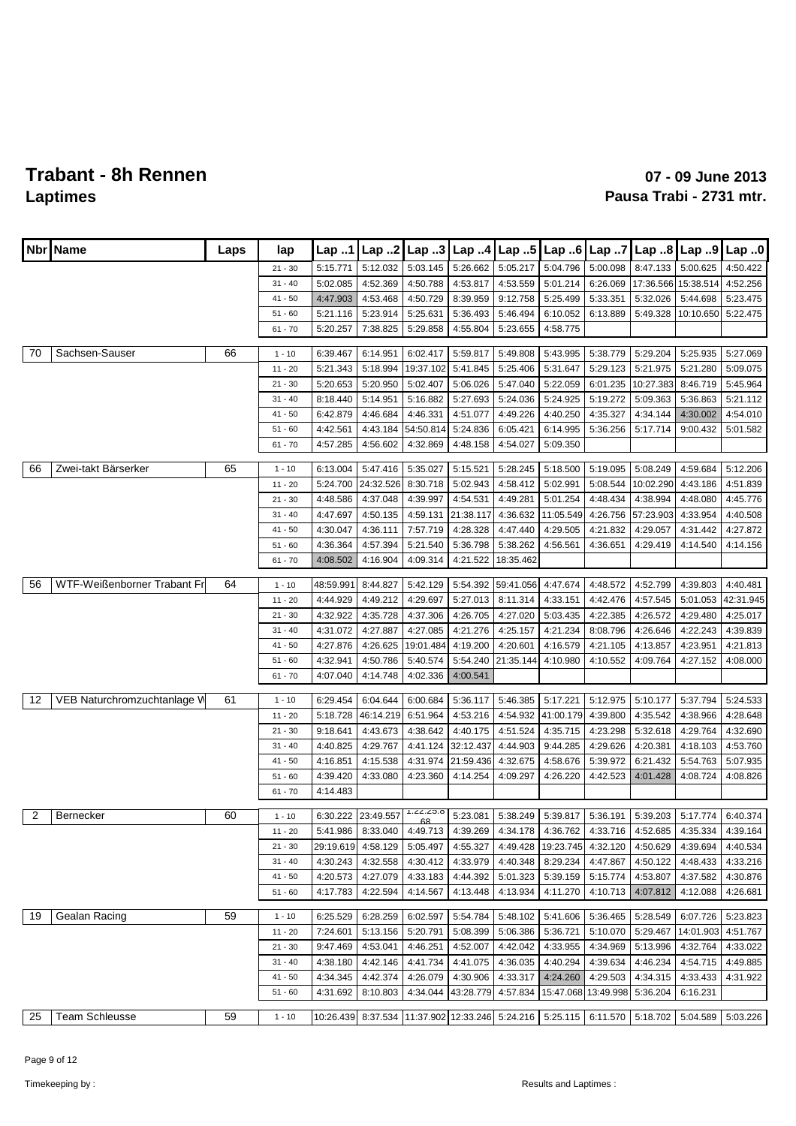| Nbr            | Name                        | Laps | lap                    | Lap 1                 | Lap.2                |                      | Lap 3 Lap 4          | $\lfloor$ Lap 5      | Lap.6                 | Lap7                 | Lap 8                                                                                                 | $\lfloor$ Lap 9 | Lap.0     |
|----------------|-----------------------------|------|------------------------|-----------------------|----------------------|----------------------|----------------------|----------------------|-----------------------|----------------------|-------------------------------------------------------------------------------------------------------|-----------------|-----------|
|                |                             |      | $21 - 30$              | 5:15.771              | 5:12.032             | 5:03.145             | 5:26.662             | 5:05.217             | 5:04.796              | 5:00.098             | 8:47.133                                                                                              | 5:00.625        | 4:50.422  |
|                |                             |      | $31 - 40$              | 5:02.085              | 4:52.369             | 4:50.788             | 4:53.817             | 4:53.559             | 5:01.214              | 6:26.069             | 17:36.566                                                                                             | 15:38.514       | 4:52.256  |
|                |                             |      | $41 - 50$              | 4:47.903              | 4:53.468             | 4:50.729             | 8:39.959             | 9:12.758             | 5:25.499              | 5:33.351             | 5:32.026                                                                                              | 5:44.698        | 5:23.475  |
|                |                             |      | $51 - 60$              | 5:21.116              | 5:23.914             | 5:25.631             | 5:36.493             | 5:46.494             | 6:10.052              | 6:13.889             | 5:49.328                                                                                              | 10:10.650       | 5:22.475  |
|                |                             |      | $61 - 70$              | 5:20.257              | 7:38.825             | 5:29.858             | 4:55.804             | 5:23.655             | 4:58.775              |                      |                                                                                                       |                 |           |
| 70             | Sachsen-Sauser              | 66   | $1 - 10$               | 6:39.467              | 6:14.951             | 6:02.417             | 5:59.817             | 5:49.808             | 5:43.995              | 5:38.779             | 5:29.204                                                                                              | 5:25.935        | 5:27.069  |
|                |                             |      | $11 - 20$              | 5:21.343              | 5:18.994             | 19:37.102            | 5:41.845             | 5:25.406             | 5:31.647              | 5:29.123             | 5:21.975                                                                                              | 5:21.280        | 5:09.075  |
|                |                             |      | $21 - 30$              | 5:20.653              | 5:20.950             | 5:02.407             | 5:06.026             | 5:47.040             | 5:22.059              | 6:01.235             | 10:27.383                                                                                             | 8:46.719        | 5:45.964  |
|                |                             |      | $31 - 40$              | 8:18.440              | 5:14.951             | 5:16.882             | 5:27.693             | 5:24.036             | 5:24.925              | 5:19.272             | 5:09.363                                                                                              | 5:36.863        | 5:21.112  |
|                |                             |      | $41 - 50$              | 6:42.879              | 4:46.684             | 4:46.331             | 4:51.077             | 4:49.226             | 4:40.250              | 4:35.327             | 4:34.144                                                                                              | 4:30.002        | 4:54.010  |
|                |                             |      | $51 - 60$              | 4:42.561              | 4:43.184             | 54:50.814            | 5:24.836             | 6:05.421             | 6:14.995              | 5:36.256             | 5:17.714                                                                                              | 9:00.432        | 5:01.582  |
|                |                             |      | $61 - 70$              | 4:57.285              | 4:56.602             | 4:32.869             | 4:48.158             | 4:54.027             | 5:09.350              |                      |                                                                                                       |                 |           |
|                |                             |      |                        |                       |                      |                      |                      |                      |                       |                      |                                                                                                       |                 |           |
| 66             | Zwei-takt Bärserker         | 65   | $1 - 10$               | 6:13.004              | 5:47.416             | 5:35.027             | 5:15.521             | 5:28.245             | 5:18.500              | 5:19.095             | 5:08.249                                                                                              | 4:59.684        | 5:12.206  |
|                |                             |      | $11 - 20$              | 5:24.700              | 24:32.526            | 8:30.718             | 5:02.943             | 4:58.412             | 5:02.991              | 5:08.544             | 10:02.290                                                                                             | 4:43.186        | 4:51.839  |
|                |                             |      | $21 - 30$              | 4:48.586              | 4:37.048             | 4:39.997             | 4:54.531             | 4:49.281             | 5:01.254              | 4:48.434             | 4:38.994                                                                                              | 4:48.080        | 4:45.776  |
|                |                             |      | $31 - 40$              | 4:47.697              | 4:50.135             | 4:59.131             | 21:38.117            | 4:36.632             | 11:05.549             | 4:26.756             | 57:23.903                                                                                             | 4:33.954        | 4:40.508  |
|                |                             |      | $41 - 50$<br>$51 - 60$ | 4:30.047              | 4:36.111             | 7:57.719<br>5:21.540 | 4:28.328             | 4:47.440<br>5:38.262 | 4:29.505              | 4:21.832             | 4:29.057                                                                                              | 4:31.442        | 4:27.872  |
|                |                             |      | $61 - 70$              | 4:36.364<br>4:08.502  | 4:57.394<br>4:16.904 | 4:09.314             | 5:36.798<br>4:21.522 | 18:35.462            | 4:56.561              | 4:36.651             | 4:29.419                                                                                              | 4:14.540        | 4:14.156  |
|                |                             |      |                        |                       |                      |                      |                      |                      |                       |                      |                                                                                                       |                 |           |
| 56             | WTF-Weißenborner Trabant Fr | 64   | $1 - 10$               | 48:59.991             | 8:44.827             | 5:42.129             | 5:54.392             | 59:41.056            | 4:47.674              | 4:48.572             | 4:52.799                                                                                              | 4:39.803        | 4:40.481  |
|                |                             |      | $11 - 20$              | 4:44.929              | 4:49.212             | 4:29.697             | 5:27.013             | 8:11.314             | 4:33.151              | 4:42.476             | 4:57.545                                                                                              | 5:01.053        | 42:31.945 |
|                |                             |      | $21 - 30$              | 4:32.922              | 4:35.728             | 4:37.306             | 4:26.705             | 4:27.020             | 5:03.435              | 4:22.385             | 4:26.572                                                                                              | 4:29.480        | 4:25.017  |
|                |                             |      | $31 - 40$              | 4:31.072              | 4:27.887             | 4:27.085             | 4:21.276             | 4:25.157             | 4:21.234              | 8:08.796             | 4:26.646                                                                                              | 4:22.243        | 4:39.839  |
|                |                             |      | $41 - 50$              | 4:27.876              | 4:26.625             | 19:01.484            | 4:19.200             | 4:20.601             | 4:16.579              | 4:21.105             | 4:13.857                                                                                              | 4:23.951        | 4:21.813  |
|                |                             |      | $51 - 60$              | 4:32.941              | 4:50.786             | 5:40.574             | 5:54.240             | 21:35.144            | 4:10.980              | 4:10.552             | 4:09.764                                                                                              | 4:27.152        | 4:08.000  |
|                |                             |      | $61 - 70$              | 4:07.040              | 4:14.748             | 4:02.336             | 4:00.541             |                      |                       |                      |                                                                                                       |                 |           |
| 12             | VEB Naturchromzuchtanlage V | 61   | $1 - 10$               | 6:29.454              | 6:04.644             | 6:00.684             | 5:36.117             | 5:46.385             | 5:17.221              | 5:12.975             | 5:10.177                                                                                              | 5:37.794        | 5:24.533  |
|                |                             |      | $11 - 20$              | 5:18.728              | 46:14.219            | 6:51.964             | 4:53.216             | 4:54.932             | 41:00.179             | 4:39.800             | 4:35.542                                                                                              | 4:38.966        | 4:28.648  |
|                |                             |      | $21 - 30$              | 9:18.641              | 4:43.673             | 4:38.642             | 4:40.175             | 4:51.524             | 4:35.715              | 4:23.298             | 5:32.618                                                                                              | 4:29.764        | 4:32.690  |
|                |                             |      | $31 - 40$              | 4:40.825              | 4:29.767             | 4:41.124             | 32:12.437            | 4:44.903             | 9:44.285              | 4:29.626             | 4:20.381                                                                                              | 4:18.103        | 4:53.760  |
|                |                             |      | $41 - 50$              | 4:16.851              | 4:15.538             | 4:31.974             | 21:59.436            | 4:32.675             | 4:58.676              | 5:39.972             | 6:21.432                                                                                              | 5:54.763        | 5:07.935  |
|                |                             |      | $51 - 60$              | 4:39.420              | 4:33.080             | 4:23.360             | 4:14.254             | 4:09.297             | 4:26.220              | 4:42.523             | 4:01.428                                                                                              | 4:08.724        | 4:08.826  |
|                |                             |      | $61 - 70$              | 4:14.483              |                      |                      |                      |                      |                       |                      |                                                                                                       |                 |           |
| $\overline{2}$ | Bernecker                   | 60   |                        |                       |                      | 1.22.20.0            |                      | 5:38.249             |                       |                      |                                                                                                       |                 |           |
|                |                             |      | $1 - 10$               | 6:30.222              | 23:49.557            | 6R                   | 5:23.081             |                      | 5:39.817              | 5:36.191             | 5:39.203<br>5:41.986 8:33.040 4:49.713 4:39.269 4:34.178 4:36.762 4:33.716 4:52.685 4:35.334 4:39.164 | 5:17.774        | 6:40.374  |
|                |                             |      | $11 - 20$              |                       | 4:58.129             |                      |                      | 4:49.428             |                       |                      | 4:50.629                                                                                              | 4:39.694        | 4:40.534  |
|                |                             |      | $21 - 30$<br>$31 - 40$ | 29:19.619<br>4:30.243 | 4:32.558             | 5:05.497<br>4:30.412 | 4:55.327<br>4:33.979 | 4:40.348             | 19:23.745<br>8:29.234 | 4:32.120<br>4:47.867 | 4:50.122                                                                                              | 4:48.433        | 4:33.216  |
|                |                             |      | $41 - 50$              | 4:20.573              | 4:27.079             | 4:33.183             | 4:44.392             | 5:01.323             | 5:39.159              | 5:15.774             | 4:53.807                                                                                              | 4:37.582        | 4:30.876  |
|                |                             |      | $51 - 60$              | 4:17.783              | 4:22.594             | 4:14.567             | 4:13.448             | 4:13.934             | 4:11.270              | 4:10.713             | 4:07.812                                                                                              | 4:12.088        | 4:26.681  |
|                |                             |      |                        |                       |                      |                      |                      |                      |                       |                      |                                                                                                       |                 |           |
| 19             | Gealan Racing               | 59   | $1 - 10$               | 6:25.529              | 6:28.259             | 6:02.597             | 5:54.784             | 5:48.102             | 5:41.606              | 5:36.465             | 5:28.549                                                                                              | 6:07.726        | 5:23.823  |
|                |                             |      | $11 - 20$              | 7:24.601              | 5:13.156             | 5:20.791             | 5:08.399             | 5:06.386             | 5:36.721              | 5:10.070             | 5:29.467                                                                                              | 14:01.903       | 4:51.767  |
|                |                             |      | $21 - 30$              | 9:47.469              | 4:53.041             | 4:46.251             | 4:52.007             | 4:42.042             | 4:33.955              | 4:34.969             | 5:13.996                                                                                              | 4:32.764        | 4:33.022  |
|                |                             |      | $31 - 40$              | 4:38.180              | 4:42.146             | 4:41.734             | 4:41.075             | 4:36.035             | 4:40.294              | 4:39.634             | 4:46.234                                                                                              | 4:54.715        | 4:49.885  |
|                |                             |      | $41 - 50$              | 4:34.345              | 4:42.374             | 4:26.079             | 4:30.906             | 4:33.317             | 4:24.260              | 4:29.503             | 4:34.315                                                                                              | 4:33.433        | 4:31.922  |
|                |                             |      | $51 - 60$              | 4:31.692              | 8:10.803             | 4:34.044             | 43:28.779            | 4:57.834             | 15:47.068             | 13:49.998            | 5:36.204                                                                                              | 6:16.231        |           |
| 25             | <b>Team Schleusse</b>       | 59   | $1 - 10$               | 10:26.439             |                      |                      |                      |                      |                       |                      | 8:37.534 11:37.902 12:33.246 5:24.216 5:25.115 6:11.570 5:18.702 5:04.589                             |                 | 5:03.226  |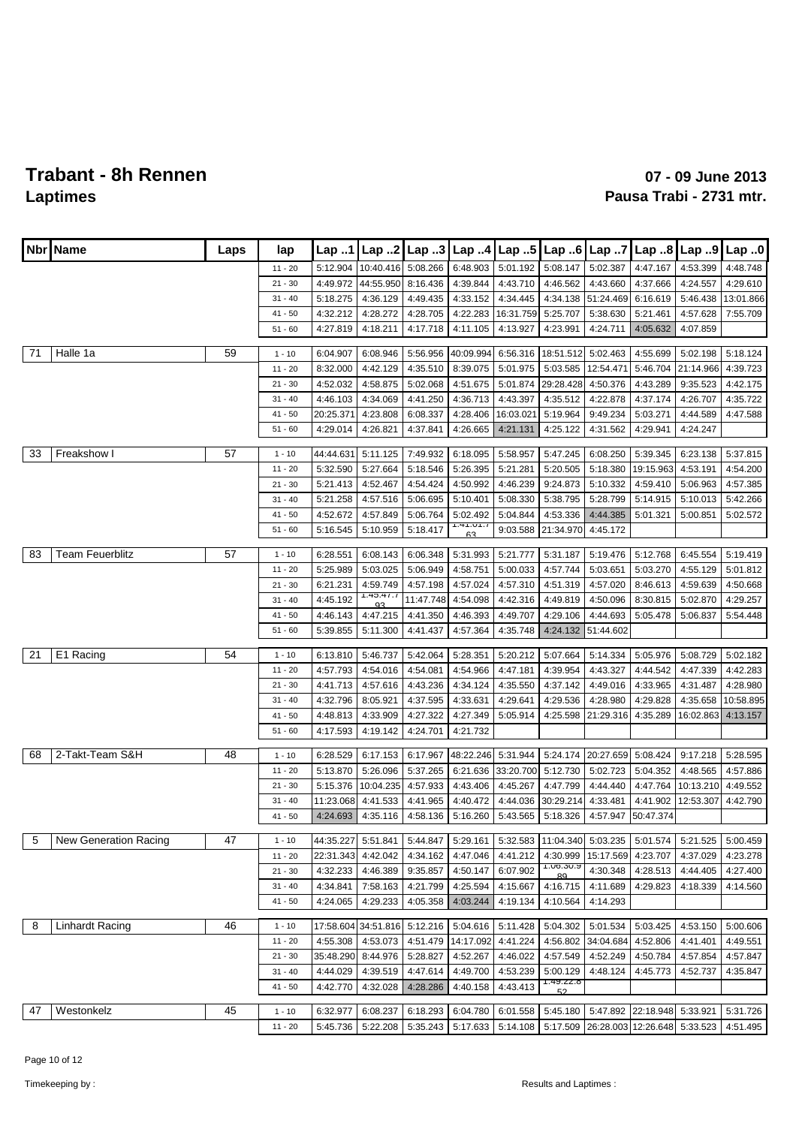| <b>Nbr</b> | <b>Name</b>            | Laps | lap       | Lap 1     | Lap.2               | Lap.3     | Lap.4           | Lap.5               | Lap.6           | Lap 7                       | Lap 8                                 | Lap 9     | Lap.0     |
|------------|------------------------|------|-----------|-----------|---------------------|-----------|-----------------|---------------------|-----------------|-----------------------------|---------------------------------------|-----------|-----------|
|            |                        |      | $11 - 20$ | 5:12.904  | 10:40.416           | 5:08.266  | 6:48.903        | 5:01.192            | 5:08.147        | 5:02.387                    | 4:47.167                              | 4:53.399  | 4:48.748  |
|            |                        |      | $21 - 30$ | 4:49.972  | 44:55.950           | 8:16.436  | 4:39.844        | 4:43.710            | 4:46.562        | 4:43.660                    | 4:37.666                              | 4:24.557  | 4:29.610  |
|            |                        |      | $31 - 40$ | 5:18.275  | 4:36.129            | 4:49.435  | 4:33.152        | 4:34.445            | 4:34.138        | 51:24.469                   | 6:16.619                              | 5:46.438  | 13:01.866 |
|            |                        |      | $41 - 50$ | 4:32.212  | 4:28.272            | 4:28.705  | 4:22.283        | 16:31.759           | 5:25.707        | 5:38.630                    | 5:21.461                              | 4:57.628  | 7:55.709  |
|            |                        |      | $51 - 60$ | 4:27.819  | 4:18.211            | 4:17.718  | 4:11.105        | 4:13.927            | 4:23.991        | 4:24.711                    | 4:05.632                              | 4:07.859  |           |
| 71         | Halle 1a               | 59   | $1 - 10$  | 6:04.907  | 6:08.946            | 5:56.956  | 40:09.994       | 6:56.316            | 18:51.512       | 5:02.463                    | 4:55.699                              | 5:02.198  | 5:18.124  |
|            |                        |      | 11 - 20   | 8:32.000  | 4:42.129            | 4:35.510  | 8:39.075        | 5:01.975            | 5:03.585        | 12:54.471                   | 5:46.704                              | 21:14.966 | 4:39.723  |
|            |                        |      | $21 - 30$ | 4:52.032  | 4:58.875            | 5:02.068  | 4:51.675        | 5:01.874            | 29:28.428       | 4:50.376                    | 4:43.289                              | 9:35.523  | 4:42.175  |
|            |                        |      | $31 - 40$ | 4:46.103  | 4:34.069            | 4:41.250  | 4:36.713        | 4:43.397            | 4:35.512        | 4:22.878                    | 4:37.174                              | 4:26.707  | 4:35.722  |
|            |                        |      | $41 - 50$ | 20:25.371 | 4:23.808            | 6:08.337  | 4:28.406        | 16:03.02            | 5:19.964        | 9:49.234                    | 5:03.271                              | 4:44.589  | 4:47.588  |
|            |                        |      | $51 - 60$ | 4:29.014  | 4:26.821            | 4:37.841  | 4:26.665        | 4:21.131            | 4:25.122        | 4:31.562                    | 4:29.941                              | 4:24.247  |           |
| 33         | Freakshow I            | 57   | $1 - 10$  | 44:44.631 | 5:11.125            | 7:49.932  | 6:18.095        | 5:58.957            | 5:47.245        | 6:08.250                    | 5:39.345                              | 6:23.138  | 5:37.815  |
|            |                        |      | 11 - 20   | 5:32.590  | 5:27.664            | 5:18.546  | 5:26.395        | 5:21.281            | 5:20.505        | 5:18.380                    | 19:15.963                             | 4:53.191  | 4:54.200  |
|            |                        |      | $21 - 30$ | 5:21.413  | 4:52.467            | 4:54.424  | 4:50.992        | 4:46.239            | 9:24.873        | 5:10.332                    | 4:59.410                              | 5:06.963  | 4:57.385  |
|            |                        |      | $31 - 40$ | 5:21.258  | 4:57.516            | 5:06.695  | 5:10.401        | 5:08.330            | 5:38.795        | 5:28.799                    | 5:14.915                              | 5:10.013  | 5:42.266  |
|            |                        |      | $41 - 50$ | 4:52.672  | 4:57.849            | 5:06.764  | 5:02.492        | 5:04.844            | 4:53.336        | 4:44.385                    | 5:01.321                              | 5:00.851  | 5:02.572  |
|            |                        |      | $51 - 60$ | 5:16.545  | 5:10.959            | 5:18.417  | 1.41.VT.1<br>63 | 9:03.588            | 21:34.970       | 4:45.172                    |                                       |           |           |
| 83         | <b>Team Feuerblitz</b> | 57   | $1 - 10$  | 6:28.551  | 6:08.143            | 6:06.348  | 5:31.993        | 5:21.777            | 5:31.187        | 5:19.476                    | 5:12.768                              | 6:45.554  | 5:19.419  |
|            |                        |      | 11 - 20   | 5:25.989  | 5:03.025            | 5:06.949  | 4:58.751        | 5:00.033            | 4:57.744        | 5:03.651                    | 5:03.270                              | 4:55.129  | 5:01.812  |
|            |                        |      | $21 - 30$ | 6:21.231  | 4:59.749            | 4:57.198  | 4:57.024        | 4:57.310            | 4:51.319        | 4:57.020                    | 8:46.613                              | 4:59.639  | 4:50.668  |
|            |                        |      | $31 - 40$ | 4:45.192  | 1.40.47.7<br>۵Q     | 11:47.748 | 4:54.098        | 4:42.316            | 4:49.819        | 4:50.096                    | 8:30.815                              | 5:02.870  | 4:29.257  |
|            |                        |      | $41 - 50$ | 4:46.143  | 4:47.215            | 4:41.350  | 4:46.393        | 4:49.707            | 4:29.106        | 4:44.693                    | 5:05.478                              | 5:06.837  | 5:54.448  |
|            |                        |      | $51 - 60$ | 5:39.855  | 5:11.300            | 4:41.437  | 4:57.364        | 4:35.748            | 4:24.132        | 51:44.602                   |                                       |           |           |
| 21         | E1 Racing              | 54   | $1 - 10$  | 6:13.810  | 5:46.737            | 5:42.064  | 5:28.351        | 5:20.212            | 5:07.664        | 5:14.334                    | 5:05.976                              | 5:08.729  | 5:02.182  |
|            |                        |      | $11 - 20$ | 4:57.793  | 4:54.016            | 4:54.081  | 4:54.966        | 4:47.181            | 4:39.954        | 4:43.327                    | 4:44.542                              | 4:47.339  | 4:42.283  |
|            |                        |      | $21 - 30$ | 4:41.713  | 4:57.616            | 4:43.236  | 4:34.124        | 4:35.550            | 4:37.142        | 4:49.016                    | 4:33.965                              | 4:31.487  | 4:28.980  |
|            |                        |      | $31 - 40$ | 4:32.796  | 8:05.921            | 4:37.595  | 4:33.631        | 4:29.641            | 4:29.536        | 4:28.980                    | 4:29.828                              | 4:35.658  | 10:58.895 |
|            |                        |      | $41 - 50$ | 4:48.813  | 4:33.909            | 4:27.322  | 4:27.349        | 5:05.914            | 4:25.598        | 21:29.316                   | 4:35.289                              | 16:02.863 | 4:13.157  |
|            |                        |      | $51 - 60$ | 4:17.593  | 4:19.142            | 4:24.701  | 4:21.732        |                     |                 |                             |                                       |           |           |
| 68         | 2-Takt-Team S&H        | 48   | $1 - 10$  | 6:28.529  | 6:17.153            | 6:17.967  | 48:22.246       | 5:31.944            | 5:24.174        | 20:27.659                   | 5:08.424                              | 9:17.218  | 5:28.595  |
|            |                        |      | $11 - 20$ | 5:13.870  | 5:26.096            | 5:37.265  | 6:21.636        | 33:20.700           | 5:12.730        | 5:02.723                    | 5:04.352                              | 4:48.565  | 4:57.886  |
|            |                        |      | $21 - 30$ | 5:15.376  | 10:04.235           | 4:57.933  | 4:43.406        | 4:45.267            | 4:47.799        | 4:44.440                    | 4:47.764                              | 10:13.210 | 4:49.552  |
|            |                        |      | $31 - 40$ | 11:23.068 | 4:41.533            | 4:41.965  | 4:40.472        | 4:44.036            | 30:29.214       | 4:33.481                    | 4:41.902                              | 12:53.307 | 4:42.790  |
|            |                        |      | 41 - 50   | 4:24.693  | 4:35.116            | 4:58.136  | 5:16.260        | 5:43.565            | 5:18.326        | 4:57.947                    | 50:47.374                             |           |           |
| 5          | New Generation Racing  | 47   | $1 - 10$  | 44:35.227 | 5:51.841            | 5:44.847  |                 | 5:29.161   5:32.583 |                 | 11:04.340 5:03.235 5:01.574 |                                       | 5:21.525  | 5:00.459  |
|            |                        |      | $11 - 20$ | 22:31.343 | 4:42.042            | 4:34.162  | 4:47.046        | 4:41.212            | 4:30.999        | 15:17.569                   | 4:23.707                              | 4:37.029  | 4:23.278  |
|            |                        |      | $21 - 30$ | 4:32.233  | 4:46.389            | 9:35.857  | 4:50.147        | 6:07.902            | א∩כ:ס∩:ו<br>פ   | 4:30.348                    | 4:28.513                              | 4:44.405  | 4:27.400  |
|            |                        |      | $31 - 40$ | 4:34.841  | 7:58.163            | 4:21.799  | 4:25.594        | 4:15.667            | 4:16.715        | 4:11.689                    | 4:29.823                              | 4:18.339  | 4:14.560  |
|            |                        |      | $41 - 50$ | 4:24.065  | 4:29.233            | 4:05.358  | 4:03.244        | 4:19.134            | 4:10.564        | 4:14.293                    |                                       |           |           |
| 8          | <b>Linhardt Racing</b> | 46   | $1 - 10$  |           | 17:58.604 34:51.816 | 5:12.216  | 5:04.616        | 5:11.428            | 5:04.302        | 5:01.534                    | 5:03.425                              | 4:53.150  | 5:00.606  |
|            |                        |      | $11 - 20$ | 4:55.308  | 4:53.073            | 4:51.479  | 14:17.092       | 4:41.224            | 4:56.802        | 34:04.684                   | 4:52.806                              | 4:41.401  | 4:49.551  |
|            |                        |      | $21 - 30$ | 35:48.290 | 8:44.976            | 5:28.827  | 4:52.267        | 4:46.022            | 4:57.549        | 4:52.249                    | 4:50.784                              | 4:57.854  | 4:57.847  |
|            |                        |      | $31 - 40$ | 4:44.029  | 4:39.519            | 4:47.614  | 4:49.700        | 4:53.239            | 5:00.129        | 4:48.124                    | 4:45.773                              | 4:52.737  | 4:35.847  |
|            |                        |      | $41 - 50$ | 4:42.770  | 4:32.028            | 4:28.286  | 4:40.158        | 4:43.413            | 1.43.22.0<br>52 |                             |                                       |           |           |
| 47         | Westonkelz             | 45   | $1 - 10$  | 6:32.977  | 6:08.237            | 6:18.293  | 6:04.780        | 6:01.558            | 5:45.180        |                             | 5:47.892 22:18.948 5:33.921           |           | 5:31.726  |
|            |                        |      | $11 - 20$ | 5:45.736  | 5:22.208            | 5:35.243  |                 | 5:17.633 5:14.108   |                 |                             | 5:17.509 26:28.003 12:26.648 5:33.523 |           | 4:51.495  |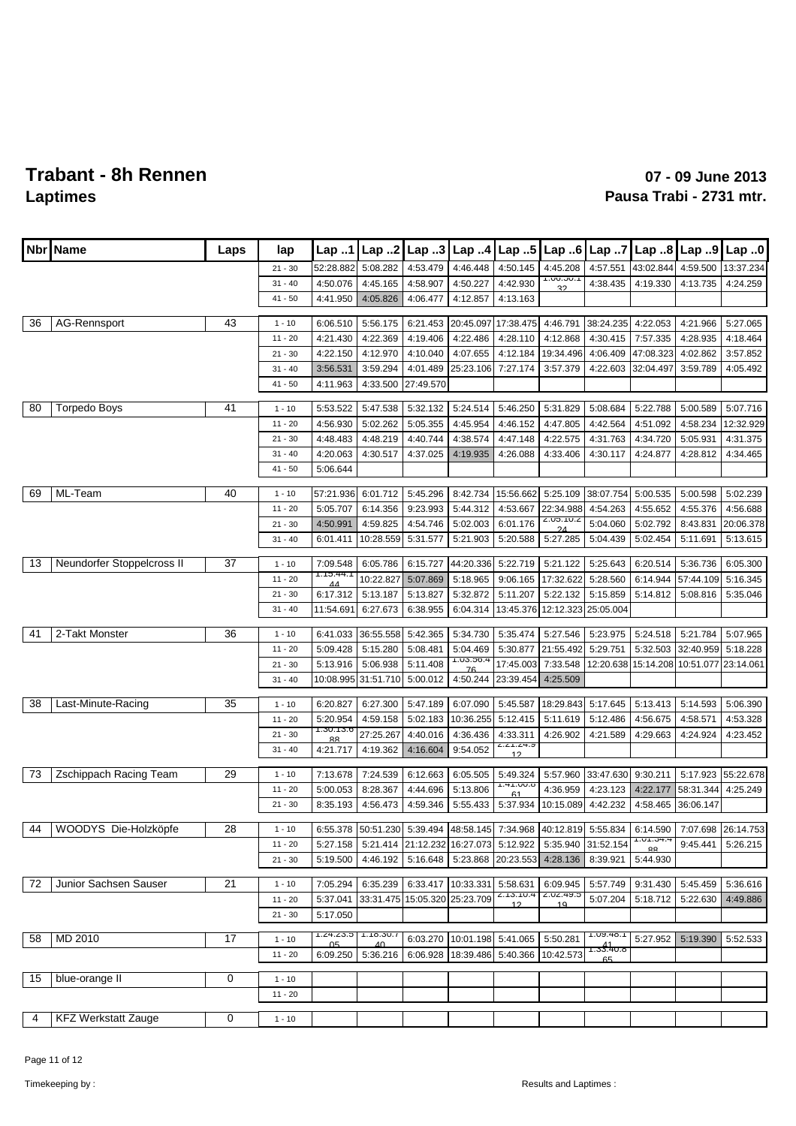| <b>Nbr</b> | Name                         | Laps | lap       | Lap 1          | Lap. .2   | Lap.3     | Lap.4                        | $ $ Lap 5                                                                                     | Lap.6                  | Lap.7           | Lap.8     | Lap 9     | Lap.0     |
|------------|------------------------------|------|-----------|----------------|-----------|-----------|------------------------------|-----------------------------------------------------------------------------------------------|------------------------|-----------------|-----------|-----------|-----------|
|            |                              |      | $21 - 30$ | 52:28.882      | 5:08.282  | 4:53.479  | 4:46.448                     | 4:50.145                                                                                      | 4:45.208               | 4:57.551        | 43:02.844 | 4:59.500  | 13:37.234 |
|            |                              |      | $31 - 40$ | 4:50.076       | 4:45.165  | 4:58.907  | 4:50.227                     | 4:42.930                                                                                      | <b>1.00.00.1</b><br>っっ | 4:38.435        | 4:19.330  | 4:13.735  | 4:24.259  |
|            |                              |      | $41 - 50$ | 4:41.950       | 4:05.826  | 4:06.477  | 4:12.857                     | 4:13.163                                                                                      |                        |                 |           |           |           |
|            |                              |      |           |                |           |           |                              |                                                                                               |                        |                 |           |           |           |
| 36         | AG-Rennsport                 | 43   | $1 - 10$  | 6:06.510       | 5:56.175  | 6:21.453  | 20:45.097                    | 17:38.475                                                                                     | 4:46.791               | 38:24.235       | 4:22.053  | 4:21.966  | 5:27.065  |
|            |                              |      | $11 - 20$ | 4:21.430       | 4:22.369  | 4:19.406  | 4:22.486                     | 4:28.110                                                                                      | 4:12.868               | 4:30.415        | 7:57.335  | 4:28.935  | 4:18.464  |
|            |                              |      | $21 - 30$ | 4:22.150       | 4:12.970  | 4:10.040  | 4:07.655                     | 4:12.184                                                                                      | 19:34.496              | 4:06.409        | 47:08.323 | 4:02.862  | 3:57.852  |
|            |                              |      | $31 - 40$ | 3:56.531       | 3:59.294  | 4:01.489  | 25:23.106                    | 7:27.174                                                                                      | 3:57.379               | 4:22.603        | 32:04.497 | 3:59.789  | 4:05.492  |
|            |                              |      | $41 - 50$ | 4:11.963       | 4:33.500  | 27:49.570 |                              |                                                                                               |                        |                 |           |           |           |
| 80         | <b>Torpedo Boys</b>          | 41   | $1 - 10$  | 5:53.522       | 5:47.538  | 5:32.132  | 5:24.514                     | 5:46.250                                                                                      | 5:31.829               | 5:08.684        | 5:22.788  | 5:00.589  | 5:07.716  |
|            |                              |      | $11 - 20$ | 4:56.930       | 5:02.262  | 5:05.355  | 4:45.954                     | 4:46.152                                                                                      | 4:47.805               | 4:42.564        | 4:51.092  | 4:58.234  | 12:32.929 |
|            |                              |      | $21 - 30$ | 4:48.483       | 4:48.219  | 4:40.744  | 4:38.574                     | 4:47.148                                                                                      | 4:22.575               | 4:31.763        | 4:34.720  | 5:05.931  | 4:31.375  |
|            |                              |      | $31 - 40$ | 4:20.063       | 4:30.517  | 4:37.025  | 4:19.935                     | 4:26.088                                                                                      | 4:33.406               | 4:30.117        | 4:24.877  | 4:28.812  | 4:34.465  |
|            |                              |      | $41 - 50$ | 5:06.644       |           |           |                              |                                                                                               |                        |                 |           |           |           |
|            |                              |      |           |                |           |           |                              |                                                                                               |                        |                 |           |           |           |
| 69         | ML-Team                      | 40   | $1 - 10$  | 57:21.936      | 6:01.712  | 5:45.296  | 8:42.734                     | 15:56.662                                                                                     | 5:25.109               | 38:07.754       | 5:00.535  | 5:00.598  | 5:02.239  |
|            |                              |      | $11 - 20$ | 5:05.707       | 6:14.356  | 9:23.993  | 5:44.312                     | 4:53.667                                                                                      | 22:34.988              | 4:54.263        | 4:55.652  | 4:55.376  | 4:56.688  |
|            |                              |      | $21 - 30$ | 4:50.991       | 4:59.825  | 4:54.746  | 5:02.003                     | 6:01.176                                                                                      | 2.00.10.2              | 5:04.060        | 5:02.792  | 8:43.831  | 20:06.378 |
|            |                              |      | $31 - 40$ | 6:01.411       | 10:28.559 | 5:31.577  | 5:21.903                     | 5:20.588                                                                                      | 5:27.285               | 5:04.439        | 5:02.454  | 5:11.691  | 5:13.615  |
| 13         | Neundorfer Stoppelcross II   | 37   | $1 - 10$  | 7:09.548       | 6:05.786  | 6:15.727  | 44:20.336                    | 5:22.719                                                                                      | 5:21.122               | 5:25.643        | 6:20.514  | 5:36.736  | 6:05.300  |
|            |                              |      | $11 - 20$ | 1.10.44.1      | 10:22.827 | 5:07.869  | 5:18.965                     | 9:06.165                                                                                      | 17:32.622              | 5:28.560        | 6:14.944  | 57:44.109 | 5:16.345  |
|            |                              |      | $21 - 30$ | 44<br>6:17.312 | 5:13.187  | 5:13.827  | 5:32.872                     | 5:11.207                                                                                      | 5:22.132               | 5:15.859        | 5:14.812  | 5:08.816  | 5:35.046  |
|            |                              |      | $31 - 40$ | 11:54.691      | 6:27.673  | 6:38.955  | 6:04.314                     | 13:45.376                                                                                     | 12:12.323              | 25:05.004       |           |           |           |
|            |                              |      |           |                |           |           |                              |                                                                                               |                        |                 |           |           |           |
| 41         | 2-Takt Monster               | 36   | $1 - 10$  | 6:41.033       | 36:55.558 | 5:42.365  | 5:34.730                     | 5:35.474                                                                                      | 5:27.546               | 5:23.975        | 5:24.518  | 5:21.784  | 5:07.965  |
|            |                              |      | $11 - 20$ | 5:09.428       | 5:15.280  | 5:08.481  | 5:04.469                     | 5:30.877                                                                                      | 21:55.492              | 5:29.751        | 5:32.503  | 32:40.959 | 5:18.228  |
|            |                              |      | $21 - 30$ | 5:13.916       | 5:06.938  | 5:11.408  | 1.UJ.JO.4                    | 17:45.003                                                                                     | 7:33.548               | 12:20.638       | 15:14.208 | 10:51.077 | 23:14.061 |
|            |                              |      | $31 - 40$ | 10:08.995      | 31:51.710 | 5:00.012  | 4:50.244                     | 23:39.454                                                                                     | 4:25.509               |                 |           |           |           |
| 38         | Last-Minute-Racing           | 35   | $1 - 10$  | 6:20.827       | 6:27.300  | 5:47.189  | 6:07.090                     | 5:45.587                                                                                      | 18:29.843              | 5:17.645        | 5:13.413  | 5:14.593  | 5:06.390  |
|            |                              |      | $11 - 20$ | 5:20.954       | 4:59.158  | 5:02.183  | 10:36.255                    | 5:12.415                                                                                      | 5:11.619               | 5:12.486        | 4:56.675  | 4:58.571  | 4:53.328  |
|            |                              |      | $21 - 30$ | 1.30.13.0      | 27:25.267 | 4:40.016  | 4:36.436                     | 4:33.311                                                                                      | 4:26.902               | 4:21.589        | 4:29.663  | 4:24.924  | 4:23.452  |
|            |                              |      | $31 - 40$ | RЯ<br>4:21.717 | 4:19.362  | 4:16.604  | 9:54.052                     | Z.Z 1.Z4.Y                                                                                    |                        |                 |           |           |           |
|            |                              |      |           |                |           |           |                              | 12                                                                                            |                        |                 |           |           |           |
| 73         | Zschippach Racing Team       | 29   | $1 - 10$  | 7:13.678       | 7:24.539  | 6:12.663  | 6:05.505                     | 5:49.324                                                                                      | 5:57.960               | 33:47.630       | 9:30.211  | 5:17.923  | 55:22.678 |
|            |                              |      | $11 - 20$ | 5:00.053       | 8:28.367  | 4:44.696  | 5:13.806                     | 1.41.00.0<br>61                                                                               | 4:36.959               | 4:23.123        | 4:22.177  | 58:31.344 | 4:25.249  |
|            |                              |      | $21 - 30$ | 8:35.193       | 4:56.473  | 4:59.346  | 5:55.433                     | 5:37.934                                                                                      | 10:15.089              | 4:42.232        | 4:58.465  | 36:06.147 |           |
| 44         | WOODYS Die-Holzköpfe         | 28   |           |                |           |           |                              | 6:55.378 50:51.230 5:39.494 48:58.145 7:34.968 40:12.819 5:55.834 6:14.590 7:07.698 26:14.753 |                        |                 |           |           |           |
|            |                              |      | $1 - 10$  |                |           |           |                              |                                                                                               |                        |                 | 1.01.34.4 |           |           |
|            |                              |      | $11 - 20$ | 5:27.158       | 5:21.414  |           | 21:12.232 16:27.073 5:12.922 |                                                                                               | 5:35.940               | 31:52.154       | $\Omega$  | 9:45.441  | 5:26.215  |
|            |                              |      | $21 - 30$ | 5:19.500       | 4:46.192  | 5:16.648  |                              | 5:23.868 20:23.553                                                                            | 4:28.136               | 8:39.921        | 5:44.930  |           |           |
| 72         | <b>Junior Sachsen Sauser</b> | 21   | $1 - 10$  | 7:05.294       | 6:35.239  | 6:33.417  | 10:33.331  5:58.631          |                                                                                               | 6:09.945               | 5:57.749        | 9:31.430  | 5:45.459  | 5:36.616  |
|            |                              |      | $11 - 20$ | 5:37.041       | 33:31.475 |           | 15:05.320 25:23.709          | 2. 13. 10.4<br>12                                                                             | Z.UZ.49.0<br>10        | 5:07.204        | 5:18.712  | 5:22.630  | 4:49.886  |
|            |                              |      | $21 - 30$ | 5:17.050       |           |           |                              |                                                                                               |                        |                 |           |           |           |
|            |                              |      |           | 1.24.23.3      | 1.10.30.1 |           |                              |                                                                                               |                        | 1.09.40.1       |           |           |           |
| 58         | MD 2010                      | 17   | $1 - 10$  | በፍ             | 4Λ        | 6:03.270  | 10:01.198 5:41.065           |                                                                                               | 5:50.281               | 41<br>1.33.40.0 | 5:27.952  | 5:19.390  | 5:52.533  |
|            |                              |      | $11 - 20$ | 6:09.250       | 5:36.216  | 6:06.928  | 18:39.486 5:40.366           |                                                                                               | 10:42.573              | 65              |           |           |           |
| 15         | blue-orange II               | 0    | $1 - 10$  |                |           |           |                              |                                                                                               |                        |                 |           |           |           |
|            |                              |      | $11 - 20$ |                |           |           |                              |                                                                                               |                        |                 |           |           |           |
|            |                              |      |           |                |           |           |                              |                                                                                               |                        |                 |           |           |           |
| 4          | <b>KFZ Werkstatt Zauge</b>   | 0    | $1 - 10$  |                |           |           |                              |                                                                                               |                        |                 |           |           |           |